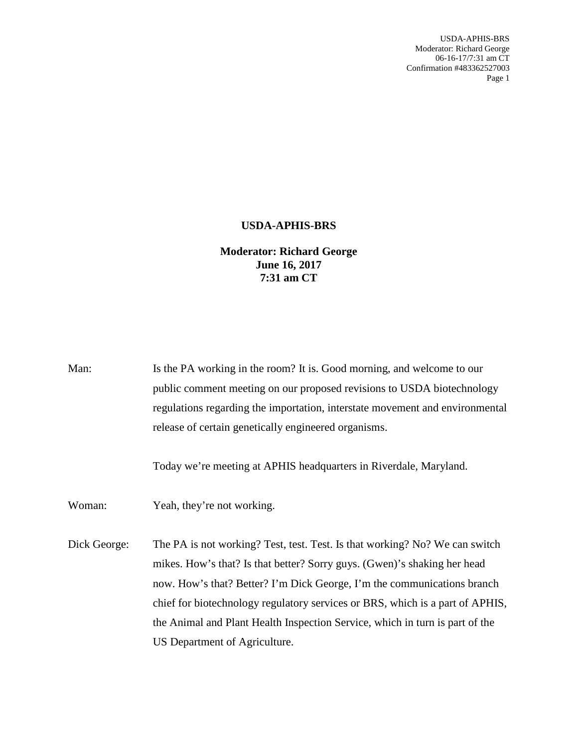USDA-APHIS-BRS Moderator: Richard George 06-16-17/7:31 am CT Confirmation #483362527003 Page 1

## **USDA-APHIS-BRS**

## **Moderator: Richard George June 16, 2017 7:31 am CT**

| Man:         | Is the PA working in the room? It is. Good morning, and welcome to our<br>public comment meeting on our proposed revisions to USDA biotechnology<br>regulations regarding the importation, interstate movement and environmental<br>release of certain genetically engineered organisms.<br>Today we're meeting at APHIS headquarters in Riverdale, Maryland.                                                                        |
|--------------|--------------------------------------------------------------------------------------------------------------------------------------------------------------------------------------------------------------------------------------------------------------------------------------------------------------------------------------------------------------------------------------------------------------------------------------|
| Woman:       | Yeah, they're not working.                                                                                                                                                                                                                                                                                                                                                                                                           |
| Dick George: | The PA is not working? Test, test. Test. Is that working? No? We can switch<br>mikes. How's that? Is that better? Sorry guys. (Gwen)'s shaking her head<br>now. How's that? Better? I'm Dick George, I'm the communications branch<br>chief for biotechnology regulatory services or BRS, which is a part of APHIS,<br>the Animal and Plant Health Inspection Service, which in turn is part of the<br>US Department of Agriculture. |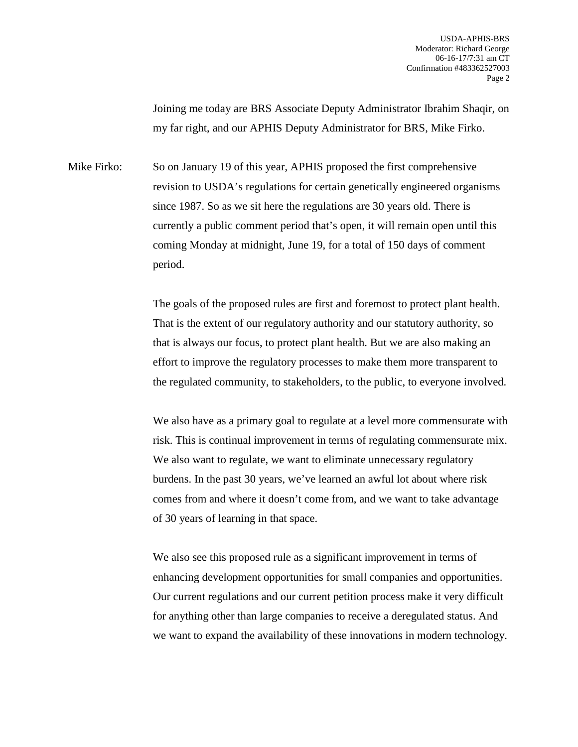Joining me today are BRS Associate Deputy Administrator Ibrahim Shaqir, on my far right, and our APHIS Deputy Administrator for BRS, Mike Firko.

Mike Firko: So on January 19 of this year, APHIS proposed the first comprehensive revision to USDA's regulations for certain genetically engineered organisms since 1987. So as we sit here the regulations are 30 years old. There is currently a public comment period that's open, it will remain open until this coming Monday at midnight, June 19, for a total of 150 days of comment period.

> The goals of the proposed rules are first and foremost to protect plant health. That is the extent of our regulatory authority and our statutory authority, so that is always our focus, to protect plant health. But we are also making an effort to improve the regulatory processes to make them more transparent to the regulated community, to stakeholders, to the public, to everyone involved.

> We also have as a primary goal to regulate at a level more commensurate with risk. This is continual improvement in terms of regulating commensurate mix. We also want to regulate, we want to eliminate unnecessary regulatory burdens. In the past 30 years, we've learned an awful lot about where risk comes from and where it doesn't come from, and we want to take advantage of 30 years of learning in that space.

> We also see this proposed rule as a significant improvement in terms of enhancing development opportunities for small companies and opportunities. Our current regulations and our current petition process make it very difficult for anything other than large companies to receive a deregulated status. And we want to expand the availability of these innovations in modern technology.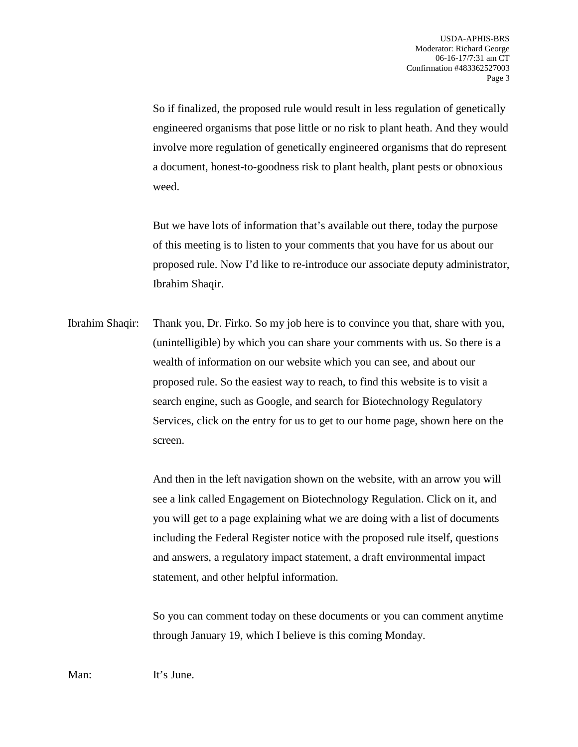So if finalized, the proposed rule would result in less regulation of genetically engineered organisms that pose little or no risk to plant heath. And they would involve more regulation of genetically engineered organisms that do represent a document, honest-to-goodness risk to plant health, plant pests or obnoxious weed.

But we have lots of information that's available out there, today the purpose of this meeting is to listen to your comments that you have for us about our proposed rule. Now I'd like to re-introduce our associate deputy administrator, Ibrahim Shaqir.

Ibrahim Shaqir: Thank you, Dr. Firko. So my job here is to convince you that, share with you, (unintelligible) by which you can share your comments with us. So there is a wealth of information on our website which you can see, and about our proposed rule. So the easiest way to reach, to find this website is to visit a search engine, such as Google, and search for Biotechnology Regulatory Services, click on the entry for us to get to our home page, shown here on the screen.

> And then in the left navigation shown on the website, with an arrow you will see a link called Engagement on Biotechnology Regulation. Click on it, and you will get to a page explaining what we are doing with a list of documents including the Federal Register notice with the proposed rule itself, questions and answers, a regulatory impact statement, a draft environmental impact statement, and other helpful information.

> So you can comment today on these documents or you can comment anytime through January 19, which I believe is this coming Monday.

Man: It's June.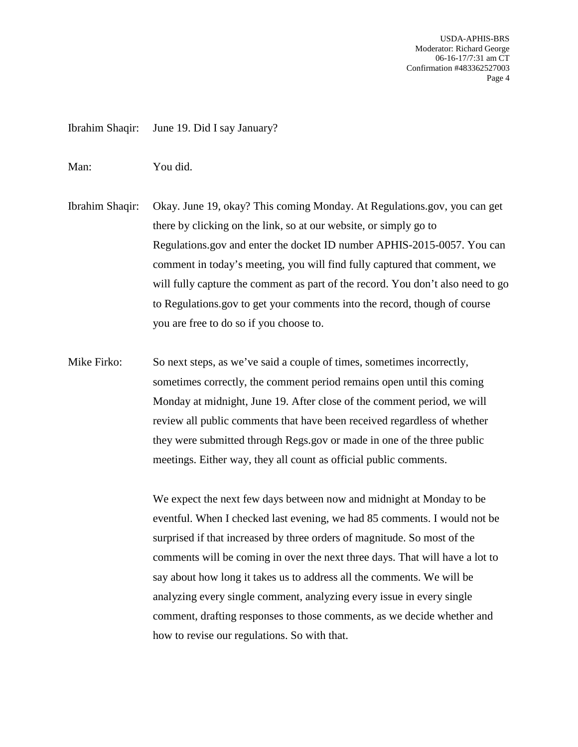USDA-APHIS-BRS Moderator: Richard George 06-16-17/7:31 am CT Confirmation #483362527003 Page 4

Ibrahim Shaqir: June 19. Did I say January?

Man: You did.

Ibrahim Shaqir: Okay. June 19, okay? This coming Monday. At Regulations.gov, you can get there by clicking on the link, so at our website, or simply go to Regulations.gov and enter the docket ID number APHIS-2015-0057. You can comment in today's meeting, you will find fully captured that comment, we will fully capture the comment as part of the record. You don't also need to go to Regulations.gov to get your comments into the record, though of course you are free to do so if you choose to.

Mike Firko: So next steps, as we've said a couple of times, sometimes incorrectly, sometimes correctly, the comment period remains open until this coming Monday at midnight, June 19. After close of the comment period, we will review all public comments that have been received regardless of whether they were submitted through Regs.gov or made in one of the three public meetings. Either way, they all count as official public comments.

> We expect the next few days between now and midnight at Monday to be eventful. When I checked last evening, we had 85 comments. I would not be surprised if that increased by three orders of magnitude. So most of the comments will be coming in over the next three days. That will have a lot to say about how long it takes us to address all the comments. We will be analyzing every single comment, analyzing every issue in every single comment, drafting responses to those comments, as we decide whether and how to revise our regulations. So with that.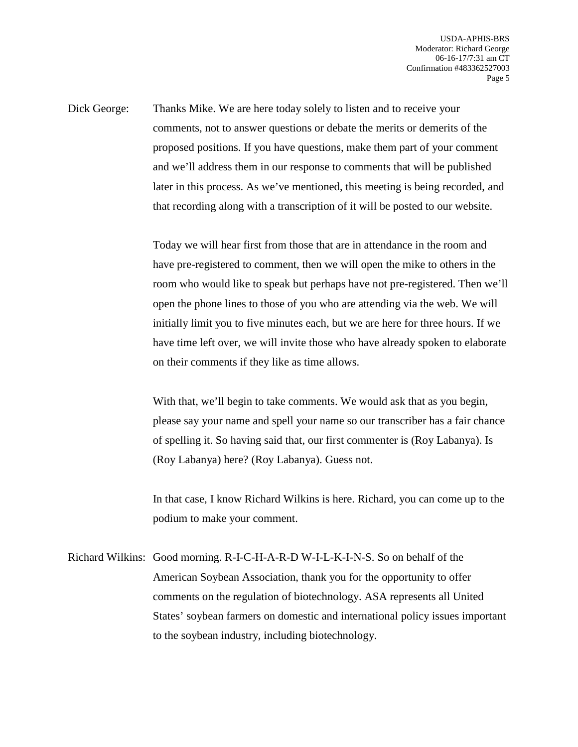Dick George: Thanks Mike. We are here today solely to listen and to receive your comments, not to answer questions or debate the merits or demerits of the proposed positions. If you have questions, make them part of your comment and we'll address them in our response to comments that will be published later in this process. As we've mentioned, this meeting is being recorded, and that recording along with a transcription of it will be posted to our website.

> Today we will hear first from those that are in attendance in the room and have pre-registered to comment, then we will open the mike to others in the room who would like to speak but perhaps have not pre-registered. Then we'll open the phone lines to those of you who are attending via the web. We will initially limit you to five minutes each, but we are here for three hours. If we have time left over, we will invite those who have already spoken to elaborate on their comments if they like as time allows.

> With that, we'll begin to take comments. We would ask that as you begin, please say your name and spell your name so our transcriber has a fair chance of spelling it. So having said that, our first commenter is (Roy Labanya). Is (Roy Labanya) here? (Roy Labanya). Guess not.

> In that case, I know Richard Wilkins is here. Richard, you can come up to the podium to make your comment.

Richard Wilkins: Good morning. R-I-C-H-A-R-D W-I-L-K-I-N-S. So on behalf of the American Soybean Association, thank you for the opportunity to offer comments on the regulation of biotechnology. ASA represents all United States' soybean farmers on domestic and international policy issues important to the soybean industry, including biotechnology.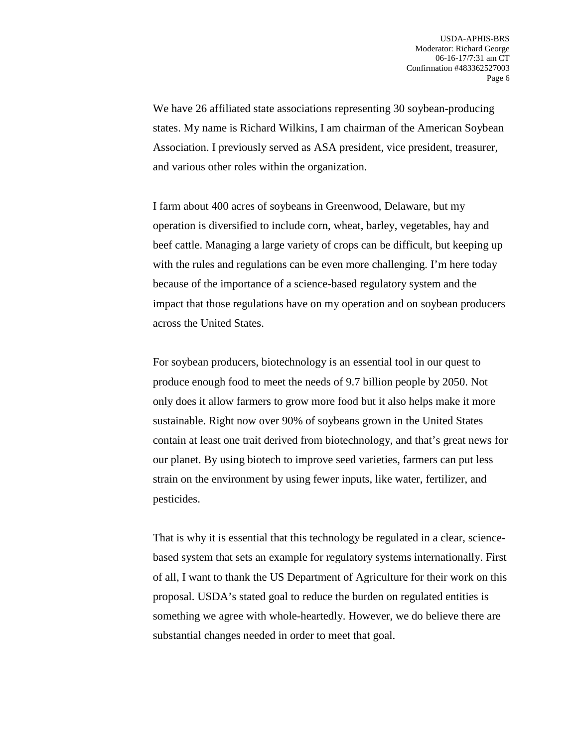We have 26 affiliated state associations representing 30 soybean-producing states. My name is Richard Wilkins, I am chairman of the American Soybean Association. I previously served as ASA president, vice president, treasurer, and various other roles within the organization.

I farm about 400 acres of soybeans in Greenwood, Delaware, but my operation is diversified to include corn, wheat, barley, vegetables, hay and beef cattle. Managing a large variety of crops can be difficult, but keeping up with the rules and regulations can be even more challenging. I'm here today because of the importance of a science-based regulatory system and the impact that those regulations have on my operation and on soybean producers across the United States.

For soybean producers, biotechnology is an essential tool in our quest to produce enough food to meet the needs of 9.7 billion people by 2050. Not only does it allow farmers to grow more food but it also helps make it more sustainable. Right now over 90% of soybeans grown in the United States contain at least one trait derived from biotechnology, and that's great news for our planet. By using biotech to improve seed varieties, farmers can put less strain on the environment by using fewer inputs, like water, fertilizer, and pesticides.

That is why it is essential that this technology be regulated in a clear, sciencebased system that sets an example for regulatory systems internationally. First of all, I want to thank the US Department of Agriculture for their work on this proposal. USDA's stated goal to reduce the burden on regulated entities is something we agree with whole-heartedly. However, we do believe there are substantial changes needed in order to meet that goal.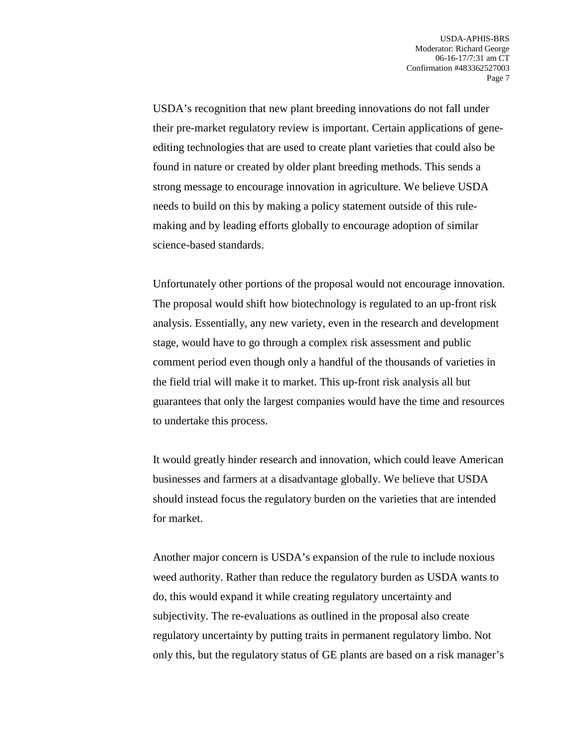USDA's recognition that new plant breeding innovations do not fall under their pre-market regulatory review is important. Certain applications of geneediting technologies that are used to create plant varieties that could also be found in nature or created by older plant breeding methods. This sends a strong message to encourage innovation in agriculture. We believe USDA needs to build on this by making a policy statement outside of this rulemaking and by leading efforts globally to encourage adoption of similar science-based standards.

Unfortunately other portions of the proposal would not encourage innovation. The proposal would shift how biotechnology is regulated to an up-front risk analysis. Essentially, any new variety, even in the research and development stage, would have to go through a complex risk assessment and public comment period even though only a handful of the thousands of varieties in the field trial will make it to market. This up-front risk analysis all but guarantees that only the largest companies would have the time and resources to undertake this process.

It would greatly hinder research and innovation, which could leave American businesses and farmers at a disadvantage globally. We believe that USDA should instead focus the regulatory burden on the varieties that are intended for market.

Another major concern is USDA's expansion of the rule to include noxious weed authority. Rather than reduce the regulatory burden as USDA wants to do, this would expand it while creating regulatory uncertainty and subjectivity. The re-evaluations as outlined in the proposal also create regulatory uncertainty by putting traits in permanent regulatory limbo. Not only this, but the regulatory status of GE plants are based on a risk manager's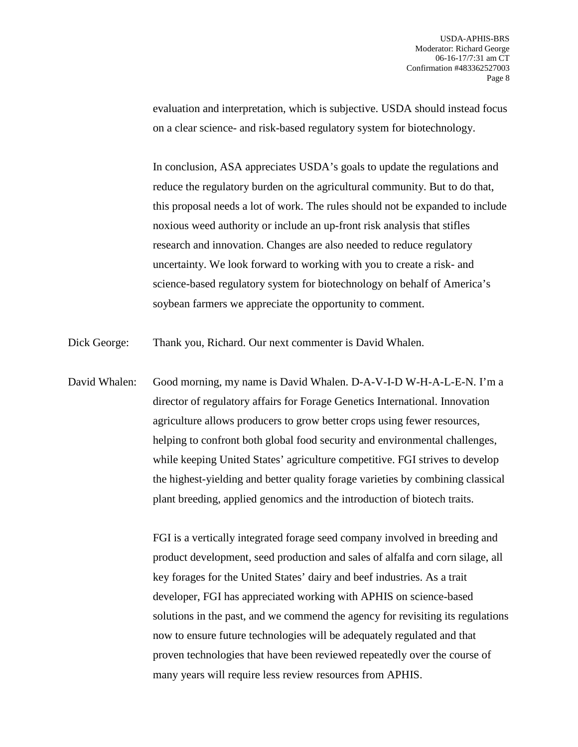evaluation and interpretation, which is subjective. USDA should instead focus on a clear science- and risk-based regulatory system for biotechnology.

In conclusion, ASA appreciates USDA's goals to update the regulations and reduce the regulatory burden on the agricultural community. But to do that, this proposal needs a lot of work. The rules should not be expanded to include noxious weed authority or include an up-front risk analysis that stifles research and innovation. Changes are also needed to reduce regulatory uncertainty. We look forward to working with you to create a risk- and science-based regulatory system for biotechnology on behalf of America's soybean farmers we appreciate the opportunity to comment.

Dick George: Thank you, Richard. Our next commenter is David Whalen.

David Whalen: Good morning, my name is David Whalen. D-A-V-I-D W-H-A-L-E-N. I'm a director of regulatory affairs for Forage Genetics International. Innovation agriculture allows producers to grow better crops using fewer resources, helping to confront both global food security and environmental challenges, while keeping United States' agriculture competitive. FGI strives to develop the highest-yielding and better quality forage varieties by combining classical plant breeding, applied genomics and the introduction of biotech traits.

> FGI is a vertically integrated forage seed company involved in breeding and product development, seed production and sales of alfalfa and corn silage, all key forages for the United States' dairy and beef industries. As a trait developer, FGI has appreciated working with APHIS on science-based solutions in the past, and we commend the agency for revisiting its regulations now to ensure future technologies will be adequately regulated and that proven technologies that have been reviewed repeatedly over the course of many years will require less review resources from APHIS.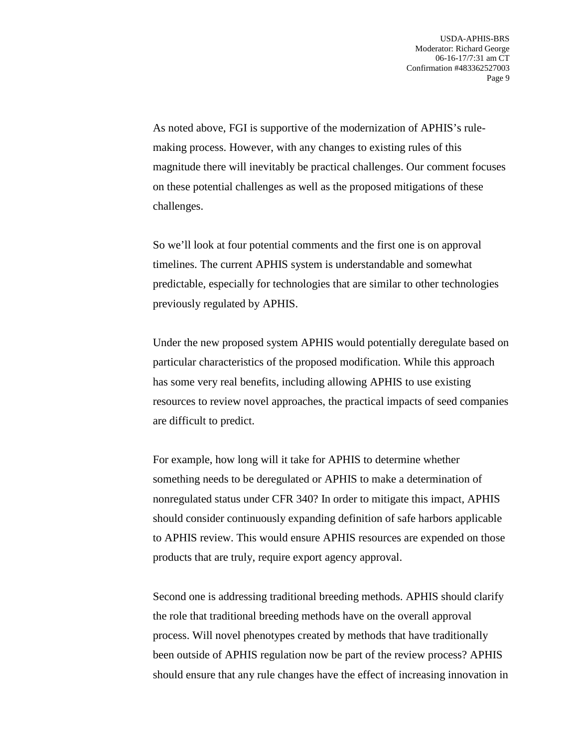As noted above, FGI is supportive of the modernization of APHIS's rulemaking process. However, with any changes to existing rules of this magnitude there will inevitably be practical challenges. Our comment focuses on these potential challenges as well as the proposed mitigations of these challenges.

So we'll look at four potential comments and the first one is on approval timelines. The current APHIS system is understandable and somewhat predictable, especially for technologies that are similar to other technologies previously regulated by APHIS.

Under the new proposed system APHIS would potentially deregulate based on particular characteristics of the proposed modification. While this approach has some very real benefits, including allowing APHIS to use existing resources to review novel approaches, the practical impacts of seed companies are difficult to predict.

For example, how long will it take for APHIS to determine whether something needs to be deregulated or APHIS to make a determination of nonregulated status under CFR 340? In order to mitigate this impact, APHIS should consider continuously expanding definition of safe harbors applicable to APHIS review. This would ensure APHIS resources are expended on those products that are truly, require export agency approval.

Second one is addressing traditional breeding methods. APHIS should clarify the role that traditional breeding methods have on the overall approval process. Will novel phenotypes created by methods that have traditionally been outside of APHIS regulation now be part of the review process? APHIS should ensure that any rule changes have the effect of increasing innovation in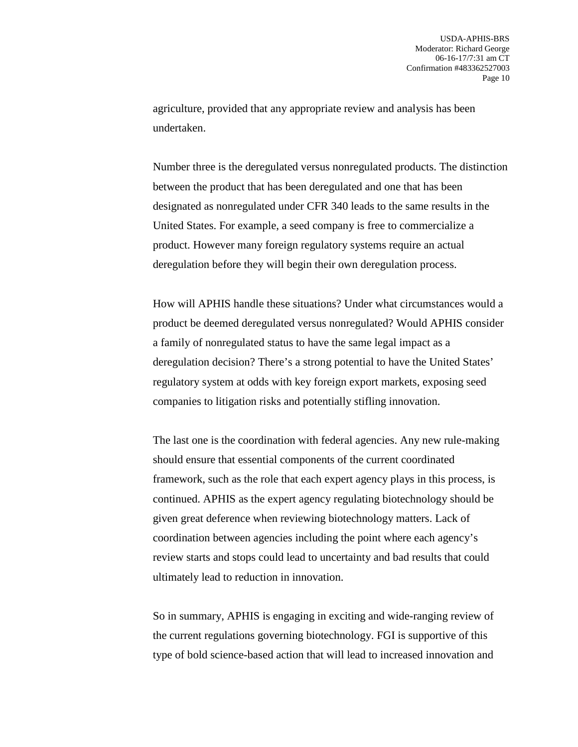agriculture, provided that any appropriate review and analysis has been undertaken.

Number three is the deregulated versus nonregulated products. The distinction between the product that has been deregulated and one that has been designated as nonregulated under CFR 340 leads to the same results in the United States. For example, a seed company is free to commercialize a product. However many foreign regulatory systems require an actual deregulation before they will begin their own deregulation process.

How will APHIS handle these situations? Under what circumstances would a product be deemed deregulated versus nonregulated? Would APHIS consider a family of nonregulated status to have the same legal impact as a deregulation decision? There's a strong potential to have the United States' regulatory system at odds with key foreign export markets, exposing seed companies to litigation risks and potentially stifling innovation.

The last one is the coordination with federal agencies. Any new rule-making should ensure that essential components of the current coordinated framework, such as the role that each expert agency plays in this process, is continued. APHIS as the expert agency regulating biotechnology should be given great deference when reviewing biotechnology matters. Lack of coordination between agencies including the point where each agency's review starts and stops could lead to uncertainty and bad results that could ultimately lead to reduction in innovation.

So in summary, APHIS is engaging in exciting and wide-ranging review of the current regulations governing biotechnology. FGI is supportive of this type of bold science-based action that will lead to increased innovation and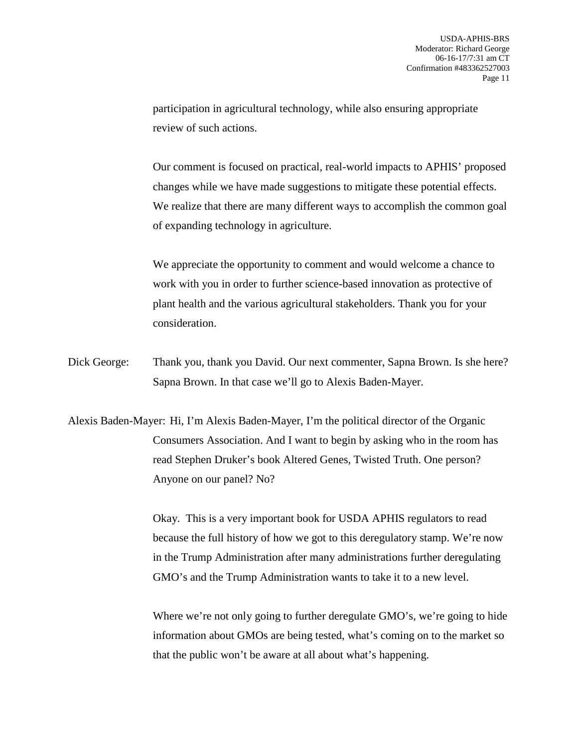participation in agricultural technology, while also ensuring appropriate review of such actions.

Our comment is focused on practical, real-world impacts to APHIS' proposed changes while we have made suggestions to mitigate these potential effects. We realize that there are many different ways to accomplish the common goal of expanding technology in agriculture.

We appreciate the opportunity to comment and would welcome a chance to work with you in order to further science-based innovation as protective of plant health and the various agricultural stakeholders. Thank you for your consideration.

Dick George: Thank you, thank you David. Our next commenter, Sapna Brown. Is she here? Sapna Brown. In that case we'll go to Alexis Baden-Mayer.

Alexis Baden-Mayer: Hi, I'm Alexis Baden-Mayer, I'm the political director of the Organic Consumers Association. And I want to begin by asking who in the room has read Stephen Druker's book Altered Genes, Twisted Truth. One person? Anyone on our panel? No?

> Okay. This is a very important book for USDA APHIS regulators to read because the full history of how we got to this deregulatory stamp. We're now in the Trump Administration after many administrations further deregulating GMO's and the Trump Administration wants to take it to a new level.

Where we're not only going to further deregulate GMO's, we're going to hide information about GMOs are being tested, what's coming on to the market so that the public won't be aware at all about what's happening.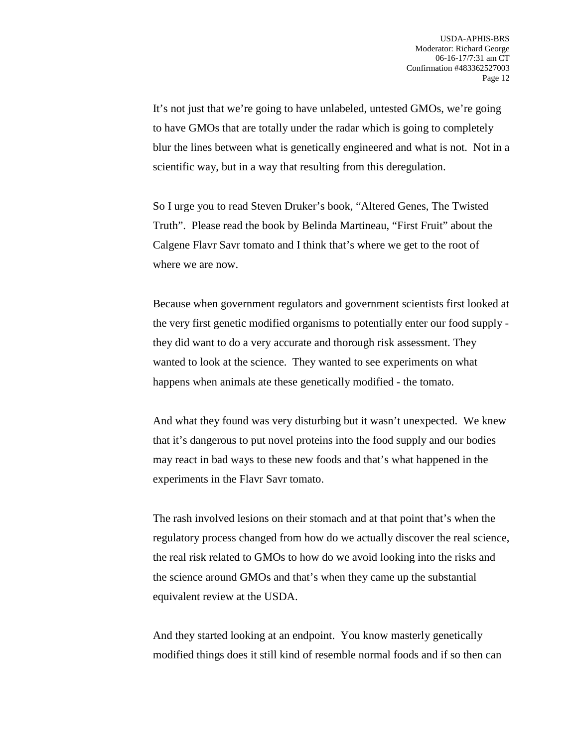It's not just that we're going to have unlabeled, untested GMOs, we're going to have GMOs that are totally under the radar which is going to completely blur the lines between what is genetically engineered and what is not. Not in a scientific way, but in a way that resulting from this deregulation.

So I urge you to read Steven Druker's book, "Altered Genes, The Twisted Truth". Please read the book by Belinda Martineau, "First Fruit" about the Calgene Flavr Savr tomato and I think that's where we get to the root of where we are now.

Because when government regulators and government scientists first looked at the very first genetic modified organisms to potentially enter our food supply they did want to do a very accurate and thorough risk assessment. They wanted to look at the science. They wanted to see experiments on what happens when animals ate these genetically modified - the tomato.

And what they found was very disturbing but it wasn't unexpected. We knew that it's dangerous to put novel proteins into the food supply and our bodies may react in bad ways to these new foods and that's what happened in the experiments in the Flavr Savr tomato.

The rash involved lesions on their stomach and at that point that's when the regulatory process changed from how do we actually discover the real science, the real risk related to GMOs to how do we avoid looking into the risks and the science around GMOs and that's when they came up the substantial equivalent review at the USDA.

And they started looking at an endpoint. You know masterly genetically modified things does it still kind of resemble normal foods and if so then can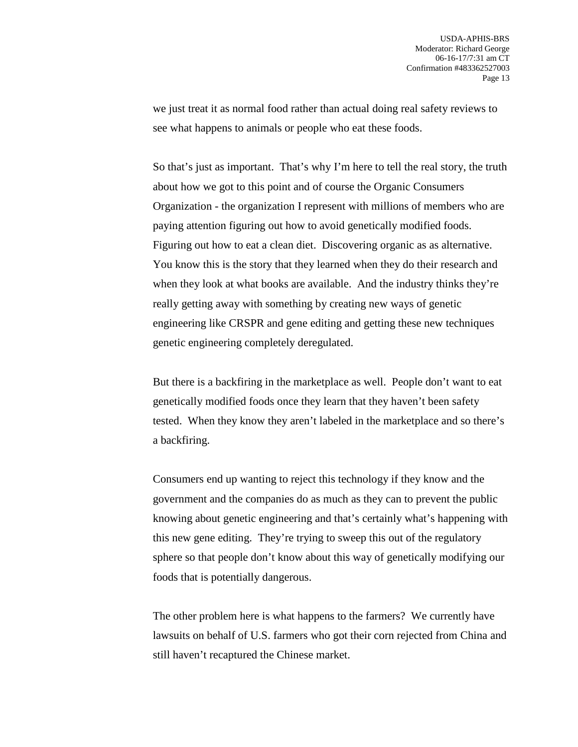we just treat it as normal food rather than actual doing real safety reviews to see what happens to animals or people who eat these foods.

So that's just as important. That's why I'm here to tell the real story, the truth about how we got to this point and of course the Organic Consumers Organization - the organization I represent with millions of members who are paying attention figuring out how to avoid genetically modified foods. Figuring out how to eat a clean diet. Discovering organic as as alternative. You know this is the story that they learned when they do their research and when they look at what books are available. And the industry thinks they're really getting away with something by creating new ways of genetic engineering like CRSPR and gene editing and getting these new techniques genetic engineering completely deregulated.

But there is a backfiring in the marketplace as well. People don't want to eat genetically modified foods once they learn that they haven't been safety tested. When they know they aren't labeled in the marketplace and so there's a backfiring.

Consumers end up wanting to reject this technology if they know and the government and the companies do as much as they can to prevent the public knowing about genetic engineering and that's certainly what's happening with this new gene editing. They're trying to sweep this out of the regulatory sphere so that people don't know about this way of genetically modifying our foods that is potentially dangerous.

The other problem here is what happens to the farmers? We currently have lawsuits on behalf of U.S. farmers who got their corn rejected from China and still haven't recaptured the Chinese market.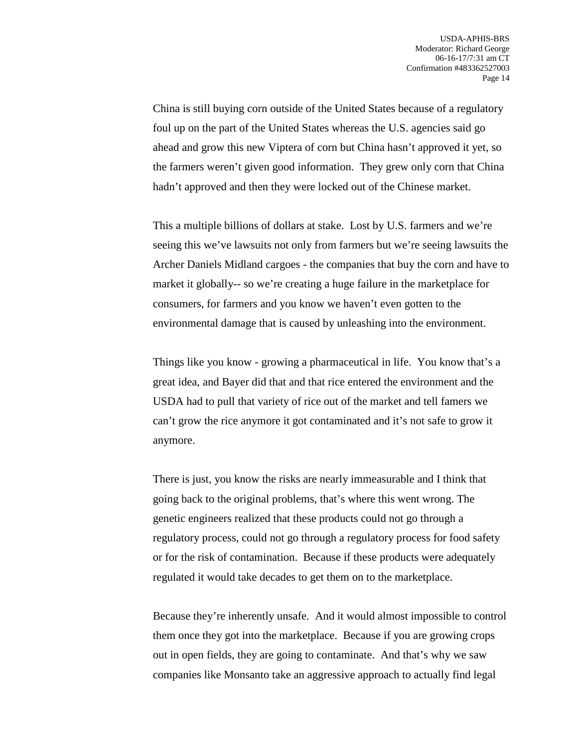China is still buying corn outside of the United States because of a regulatory foul up on the part of the United States whereas the U.S. agencies said go ahead and grow this new Viptera of corn but China hasn't approved it yet, so the farmers weren't given good information. They grew only corn that China hadn't approved and then they were locked out of the Chinese market.

This a multiple billions of dollars at stake. Lost by U.S. farmers and we're seeing this we've lawsuits not only from farmers but we're seeing lawsuits the Archer Daniels Midland cargoes - the companies that buy the corn and have to market it globally-- so we're creating a huge failure in the marketplace for consumers, for farmers and you know we haven't even gotten to the environmental damage that is caused by unleashing into the environment.

Things like you know - growing a pharmaceutical in life. You know that's a great idea, and Bayer did that and that rice entered the environment and the USDA had to pull that variety of rice out of the market and tell famers we can't grow the rice anymore it got contaminated and it's not safe to grow it anymore.

There is just, you know the risks are nearly immeasurable and I think that going back to the original problems, that's where this went wrong. The genetic engineers realized that these products could not go through a regulatory process, could not go through a regulatory process for food safety or for the risk of contamination. Because if these products were adequately regulated it would take decades to get them on to the marketplace.

Because they're inherently unsafe. And it would almost impossible to control them once they got into the marketplace. Because if you are growing crops out in open fields, they are going to contaminate. And that's why we saw companies like Monsanto take an aggressive approach to actually find legal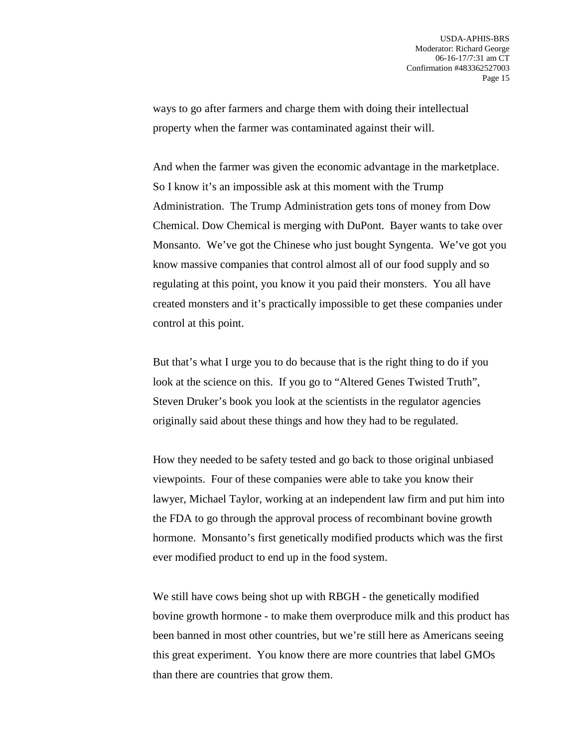ways to go after farmers and charge them with doing their intellectual property when the farmer was contaminated against their will.

And when the farmer was given the economic advantage in the marketplace. So I know it's an impossible ask at this moment with the Trump Administration. The Trump Administration gets tons of money from Dow Chemical. Dow Chemical is merging with DuPont. Bayer wants to take over Monsanto. We've got the Chinese who just bought Syngenta. We've got you know massive companies that control almost all of our food supply and so regulating at this point, you know it you paid their monsters. You all have created monsters and it's practically impossible to get these companies under control at this point.

But that's what I urge you to do because that is the right thing to do if you look at the science on this. If you go to "Altered Genes Twisted Truth", Steven Druker's book you look at the scientists in the regulator agencies originally said about these things and how they had to be regulated.

How they needed to be safety tested and go back to those original unbiased viewpoints. Four of these companies were able to take you know their lawyer, Michael Taylor, working at an independent law firm and put him into the FDA to go through the approval process of recombinant bovine growth hormone. Monsanto's first genetically modified products which was the first ever modified product to end up in the food system.

We still have cows being shot up with RBGH - the genetically modified bovine growth hormone - to make them overproduce milk and this product has been banned in most other countries, but we're still here as Americans seeing this great experiment. You know there are more countries that label GMOs than there are countries that grow them.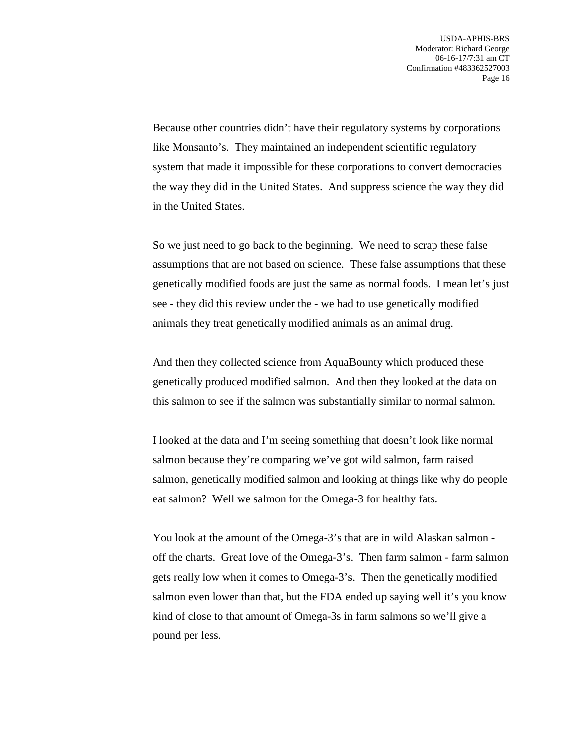Because other countries didn't have their regulatory systems by corporations like Monsanto's. They maintained an independent scientific regulatory system that made it impossible for these corporations to convert democracies the way they did in the United States. And suppress science the way they did in the United States.

So we just need to go back to the beginning. We need to scrap these false assumptions that are not based on science. These false assumptions that these genetically modified foods are just the same as normal foods. I mean let's just see - they did this review under the - we had to use genetically modified animals they treat genetically modified animals as an animal drug.

And then they collected science from AquaBounty which produced these genetically produced modified salmon. And then they looked at the data on this salmon to see if the salmon was substantially similar to normal salmon.

I looked at the data and I'm seeing something that doesn't look like normal salmon because they're comparing we've got wild salmon, farm raised salmon, genetically modified salmon and looking at things like why do people eat salmon? Well we salmon for the Omega-3 for healthy fats.

You look at the amount of the Omega-3's that are in wild Alaskan salmon off the charts. Great love of the Omega-3's. Then farm salmon - farm salmon gets really low when it comes to Omega-3's. Then the genetically modified salmon even lower than that, but the FDA ended up saying well it's you know kind of close to that amount of Omega-3s in farm salmons so we'll give a pound per less.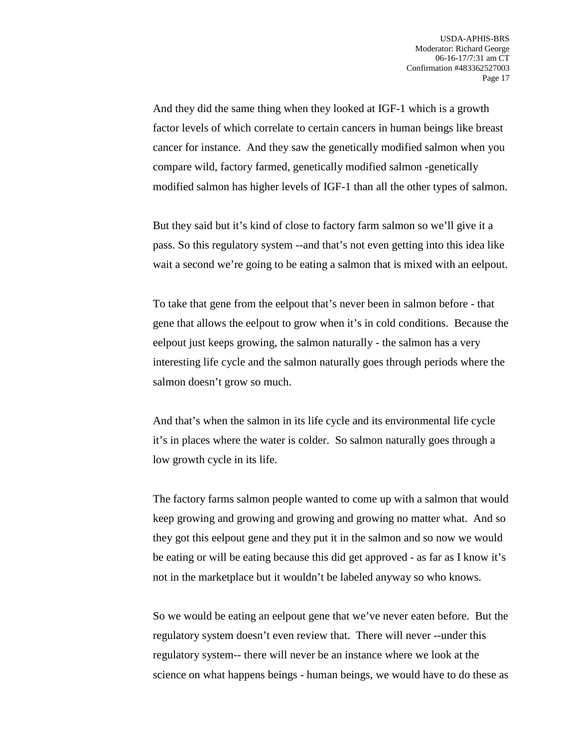And they did the same thing when they looked at IGF-1 which is a growth factor levels of which correlate to certain cancers in human beings like breast cancer for instance. And they saw the genetically modified salmon when you compare wild, factory farmed, genetically modified salmon -genetically modified salmon has higher levels of IGF-1 than all the other types of salmon.

But they said but it's kind of close to factory farm salmon so we'll give it a pass. So this regulatory system --and that's not even getting into this idea like wait a second we're going to be eating a salmon that is mixed with an eelpout.

To take that gene from the eelpout that's never been in salmon before - that gene that allows the eelpout to grow when it's in cold conditions. Because the eelpout just keeps growing, the salmon naturally - the salmon has a very interesting life cycle and the salmon naturally goes through periods where the salmon doesn't grow so much.

And that's when the salmon in its life cycle and its environmental life cycle it's in places where the water is colder. So salmon naturally goes through a low growth cycle in its life.

The factory farms salmon people wanted to come up with a salmon that would keep growing and growing and growing and growing no matter what. And so they got this eelpout gene and they put it in the salmon and so now we would be eating or will be eating because this did get approved - as far as I know it's not in the marketplace but it wouldn't be labeled anyway so who knows.

So we would be eating an eelpout gene that we've never eaten before. But the regulatory system doesn't even review that. There will never --under this regulatory system-- there will never be an instance where we look at the science on what happens beings - human beings, we would have to do these as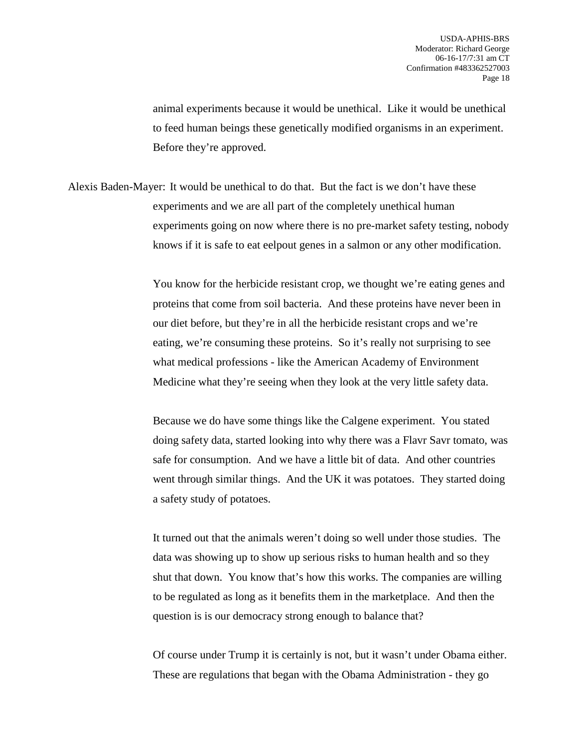animal experiments because it would be unethical. Like it would be unethical to feed human beings these genetically modified organisms in an experiment. Before they're approved.

Alexis Baden-Mayer: It would be unethical to do that. But the fact is we don't have these experiments and we are all part of the completely unethical human experiments going on now where there is no pre-market safety testing, nobody knows if it is safe to eat eelpout genes in a salmon or any other modification.

> You know for the herbicide resistant crop, we thought we're eating genes and proteins that come from soil bacteria. And these proteins have never been in our diet before, but they're in all the herbicide resistant crops and we're eating, we're consuming these proteins. So it's really not surprising to see what medical professions - like the American Academy of Environment Medicine what they're seeing when they look at the very little safety data.

> Because we do have some things like the Calgene experiment. You stated doing safety data, started looking into why there was a Flavr Savr tomato, was safe for consumption. And we have a little bit of data. And other countries went through similar things. And the UK it was potatoes. They started doing a safety study of potatoes.

It turned out that the animals weren't doing so well under those studies. The data was showing up to show up serious risks to human health and so they shut that down. You know that's how this works. The companies are willing to be regulated as long as it benefits them in the marketplace. And then the question is is our democracy strong enough to balance that?

Of course under Trump it is certainly is not, but it wasn't under Obama either. These are regulations that began with the Obama Administration - they go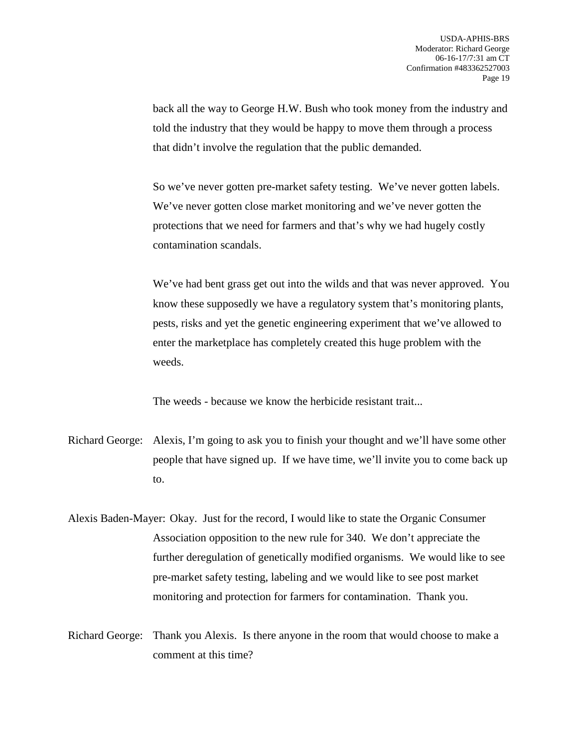back all the way to George H.W. Bush who took money from the industry and told the industry that they would be happy to move them through a process that didn't involve the regulation that the public demanded.

So we've never gotten pre-market safety testing. We've never gotten labels. We've never gotten close market monitoring and we've never gotten the protections that we need for farmers and that's why we had hugely costly contamination scandals.

We've had bent grass get out into the wilds and that was never approved. You know these supposedly we have a regulatory system that's monitoring plants, pests, risks and yet the genetic engineering experiment that we've allowed to enter the marketplace has completely created this huge problem with the weeds.

The weeds - because we know the herbicide resistant trait...

- Richard George: Alexis, I'm going to ask you to finish your thought and we'll have some other people that have signed up. If we have time, we'll invite you to come back up to.
- Alexis Baden-Mayer: Okay. Just for the record, I would like to state the Organic Consumer Association opposition to the new rule for 340. We don't appreciate the further deregulation of genetically modified organisms. We would like to see pre-market safety testing, labeling and we would like to see post market monitoring and protection for farmers for contamination. Thank you.
- Richard George: Thank you Alexis. Is there anyone in the room that would choose to make a comment at this time?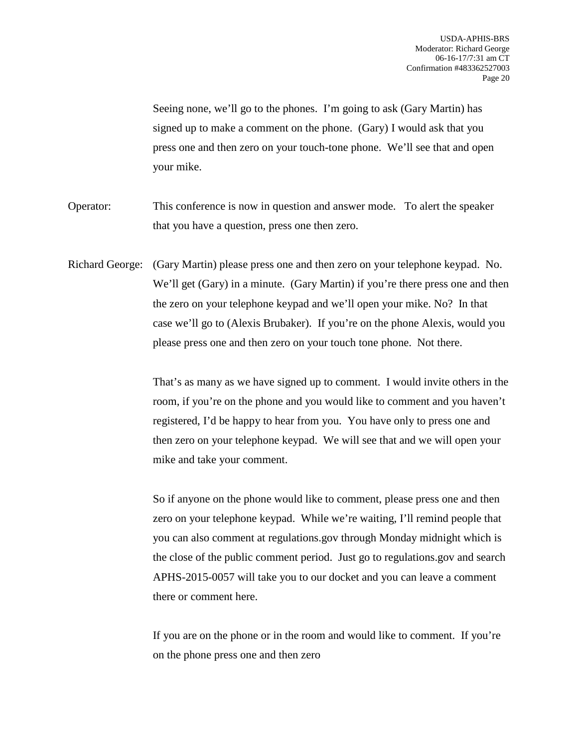Seeing none, we'll go to the phones. I'm going to ask (Gary Martin) has signed up to make a comment on the phone. (Gary) I would ask that you press one and then zero on your touch-tone phone. We'll see that and open your mike.

- Operator: This conference is now in question and answer mode. To alert the speaker that you have a question, press one then zero.
- Richard George: (Gary Martin) please press one and then zero on your telephone keypad. No. We'll get (Gary) in a minute. (Gary Martin) if you're there press one and then the zero on your telephone keypad and we'll open your mike. No? In that case we'll go to (Alexis Brubaker). If you're on the phone Alexis, would you please press one and then zero on your touch tone phone. Not there.

That's as many as we have signed up to comment. I would invite others in the room, if you're on the phone and you would like to comment and you haven't registered, I'd be happy to hear from you. You have only to press one and then zero on your telephone keypad. We will see that and we will open your mike and take your comment.

So if anyone on the phone would like to comment, please press one and then zero on your telephone keypad. While we're waiting, I'll remind people that you can also comment at regulations.gov through Monday midnight which is the close of the public comment period. Just go to regulations.gov and search APHS-2015-0057 will take you to our docket and you can leave a comment there or comment here.

If you are on the phone or in the room and would like to comment. If you're on the phone press one and then zero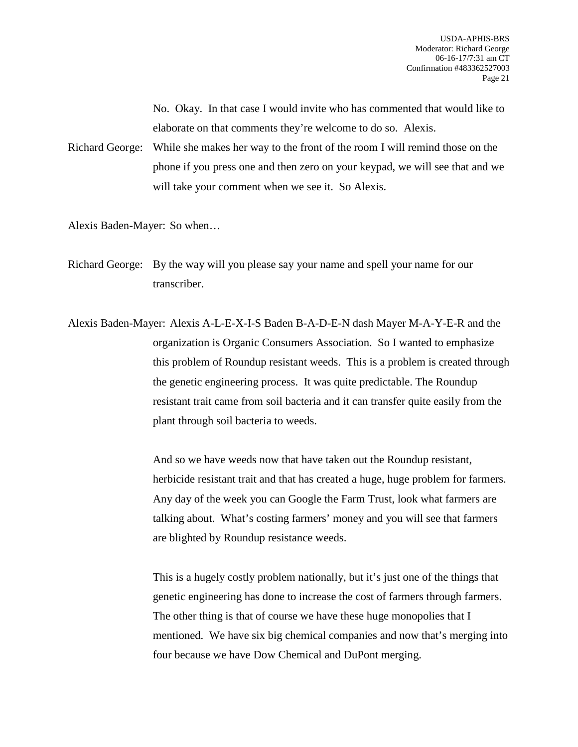No. Okay. In that case I would invite who has commented that would like to elaborate on that comments they're welcome to do so. Alexis.

Richard George: While she makes her way to the front of the room I will remind those on the phone if you press one and then zero on your keypad, we will see that and we will take your comment when we see it. So Alexis.

Alexis Baden-Mayer: So when…

Richard George: By the way will you please say your name and spell your name for our transcriber.

Alexis Baden-Mayer: Alexis A-L-E-X-I-S Baden B-A-D-E-N dash Mayer M-A-Y-E-R and the organization is Organic Consumers Association. So I wanted to emphasize this problem of Roundup resistant weeds. This is a problem is created through the genetic engineering process. It was quite predictable. The Roundup resistant trait came from soil bacteria and it can transfer quite easily from the plant through soil bacteria to weeds.

> And so we have weeds now that have taken out the Roundup resistant, herbicide resistant trait and that has created a huge, huge problem for farmers. Any day of the week you can Google the Farm Trust, look what farmers are talking about. What's costing farmers' money and you will see that farmers are blighted by Roundup resistance weeds.

> This is a hugely costly problem nationally, but it's just one of the things that genetic engineering has done to increase the cost of farmers through farmers. The other thing is that of course we have these huge monopolies that I mentioned. We have six big chemical companies and now that's merging into four because we have Dow Chemical and DuPont merging.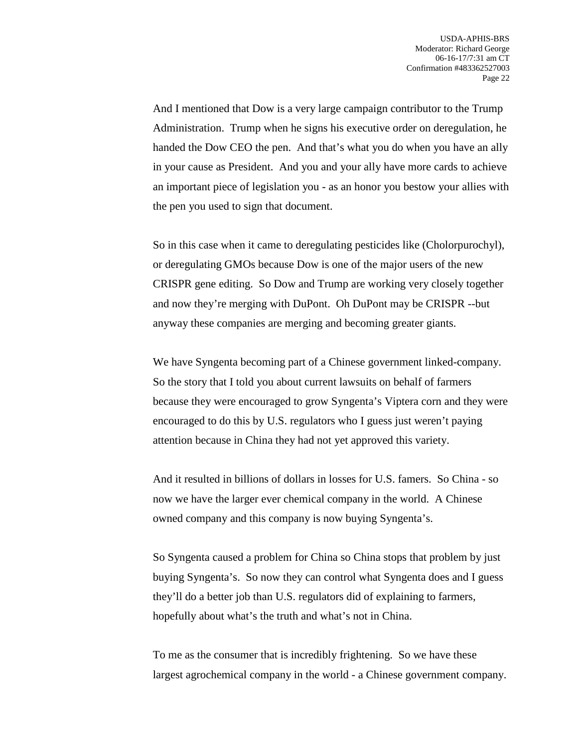And I mentioned that Dow is a very large campaign contributor to the Trump Administration. Trump when he signs his executive order on deregulation, he handed the Dow CEO the pen. And that's what you do when you have an ally in your cause as President. And you and your ally have more cards to achieve an important piece of legislation you - as an honor you bestow your allies with the pen you used to sign that document.

So in this case when it came to deregulating pesticides like (Cholorpurochyl), or deregulating GMOs because Dow is one of the major users of the new CRISPR gene editing. So Dow and Trump are working very closely together and now they're merging with DuPont. Oh DuPont may be CRISPR --but anyway these companies are merging and becoming greater giants.

We have Syngenta becoming part of a Chinese government linked-company. So the story that I told you about current lawsuits on behalf of farmers because they were encouraged to grow Syngenta's Viptera corn and they were encouraged to do this by U.S. regulators who I guess just weren't paying attention because in China they had not yet approved this variety.

And it resulted in billions of dollars in losses for U.S. famers. So China - so now we have the larger ever chemical company in the world. A Chinese owned company and this company is now buying Syngenta's.

So Syngenta caused a problem for China so China stops that problem by just buying Syngenta's. So now they can control what Syngenta does and I guess they'll do a better job than U.S. regulators did of explaining to farmers, hopefully about what's the truth and what's not in China.

To me as the consumer that is incredibly frightening. So we have these largest agrochemical company in the world - a Chinese government company.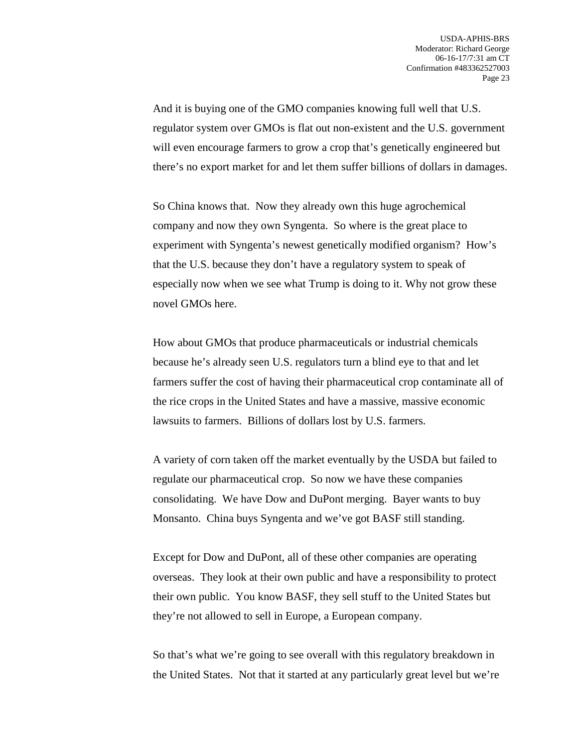And it is buying one of the GMO companies knowing full well that U.S. regulator system over GMOs is flat out non-existent and the U.S. government will even encourage farmers to grow a crop that's genetically engineered but there's no export market for and let them suffer billions of dollars in damages.

So China knows that. Now they already own this huge agrochemical company and now they own Syngenta. So where is the great place to experiment with Syngenta's newest genetically modified organism? How's that the U.S. because they don't have a regulatory system to speak of especially now when we see what Trump is doing to it. Why not grow these novel GMOs here.

How about GMOs that produce pharmaceuticals or industrial chemicals because he's already seen U.S. regulators turn a blind eye to that and let farmers suffer the cost of having their pharmaceutical crop contaminate all of the rice crops in the United States and have a massive, massive economic lawsuits to farmers. Billions of dollars lost by U.S. farmers.

A variety of corn taken off the market eventually by the USDA but failed to regulate our pharmaceutical crop. So now we have these companies consolidating. We have Dow and DuPont merging. Bayer wants to buy Monsanto. China buys Syngenta and we've got BASF still standing.

Except for Dow and DuPont, all of these other companies are operating overseas. They look at their own public and have a responsibility to protect their own public. You know BASF, they sell stuff to the United States but they're not allowed to sell in Europe, a European company.

So that's what we're going to see overall with this regulatory breakdown in the United States. Not that it started at any particularly great level but we're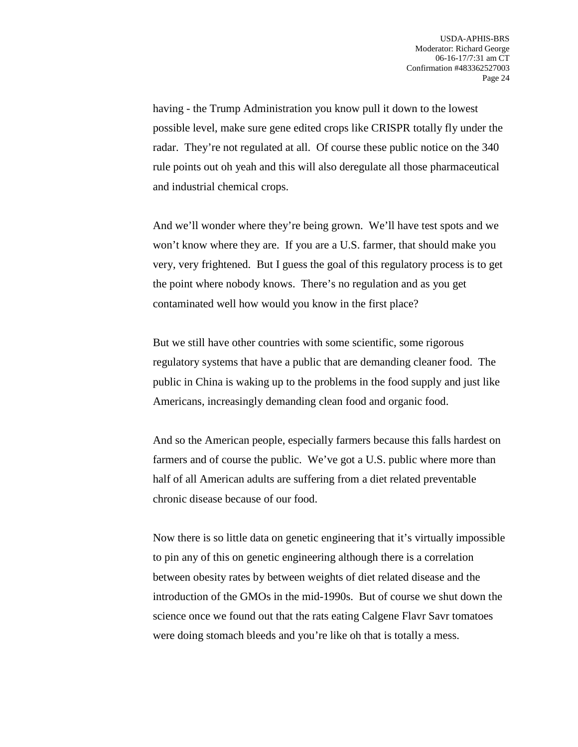having - the Trump Administration you know pull it down to the lowest possible level, make sure gene edited crops like CRISPR totally fly under the radar. They're not regulated at all. Of course these public notice on the 340 rule points out oh yeah and this will also deregulate all those pharmaceutical and industrial chemical crops.

And we'll wonder where they're being grown. We'll have test spots and we won't know where they are. If you are a U.S. farmer, that should make you very, very frightened. But I guess the goal of this regulatory process is to get the point where nobody knows. There's no regulation and as you get contaminated well how would you know in the first place?

But we still have other countries with some scientific, some rigorous regulatory systems that have a public that are demanding cleaner food. The public in China is waking up to the problems in the food supply and just like Americans, increasingly demanding clean food and organic food.

And so the American people, especially farmers because this falls hardest on farmers and of course the public. We've got a U.S. public where more than half of all American adults are suffering from a diet related preventable chronic disease because of our food.

Now there is so little data on genetic engineering that it's virtually impossible to pin any of this on genetic engineering although there is a correlation between obesity rates by between weights of diet related disease and the introduction of the GMOs in the mid-1990s. But of course we shut down the science once we found out that the rats eating Calgene Flavr Savr tomatoes were doing stomach bleeds and you're like oh that is totally a mess.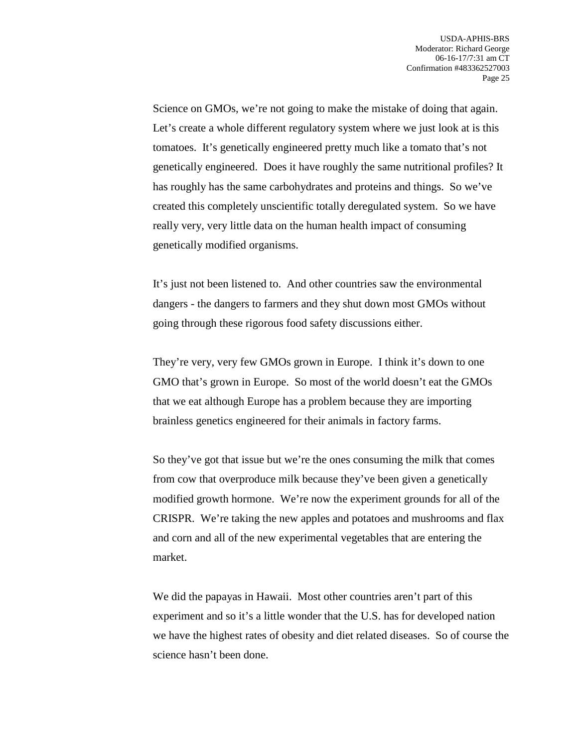Science on GMOs, we're not going to make the mistake of doing that again. Let's create a whole different regulatory system where we just look at is this tomatoes. It's genetically engineered pretty much like a tomato that's not genetically engineered. Does it have roughly the same nutritional profiles? It has roughly has the same carbohydrates and proteins and things. So we've created this completely unscientific totally deregulated system. So we have really very, very little data on the human health impact of consuming genetically modified organisms.

It's just not been listened to. And other countries saw the environmental dangers - the dangers to farmers and they shut down most GMOs without going through these rigorous food safety discussions either.

They're very, very few GMOs grown in Europe. I think it's down to one GMO that's grown in Europe. So most of the world doesn't eat the GMOs that we eat although Europe has a problem because they are importing brainless genetics engineered for their animals in factory farms.

So they've got that issue but we're the ones consuming the milk that comes from cow that overproduce milk because they've been given a genetically modified growth hormone. We're now the experiment grounds for all of the CRISPR. We're taking the new apples and potatoes and mushrooms and flax and corn and all of the new experimental vegetables that are entering the market.

We did the papayas in Hawaii. Most other countries aren't part of this experiment and so it's a little wonder that the U.S. has for developed nation we have the highest rates of obesity and diet related diseases. So of course the science hasn't been done.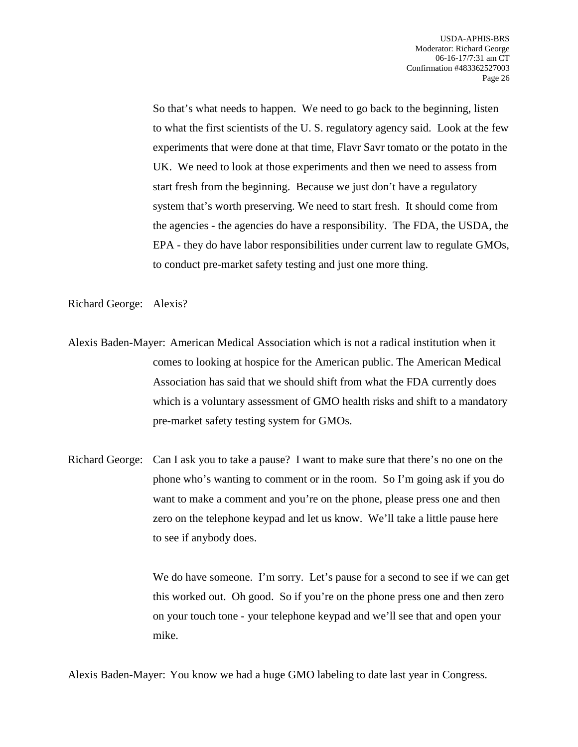So that's what needs to happen. We need to go back to the beginning, listen to what the first scientists of the U. S. regulatory agency said. Look at the few experiments that were done at that time, Flavr Savr tomato or the potato in the UK. We need to look at those experiments and then we need to assess from start fresh from the beginning. Because we just don't have a regulatory system that's worth preserving. We need to start fresh. It should come from the agencies - the agencies do have a responsibility. The FDA, the USDA, the EPA - they do have labor responsibilities under current law to regulate GMOs, to conduct pre-market safety testing and just one more thing.

Richard George: Alexis?

Alexis Baden-Mayer: American Medical Association which is not a radical institution when it comes to looking at hospice for the American public. The American Medical Association has said that we should shift from what the FDA currently does which is a voluntary assessment of GMO health risks and shift to a mandatory pre-market safety testing system for GMOs.

Richard George: Can I ask you to take a pause? I want to make sure that there's no one on the phone who's wanting to comment or in the room. So I'm going ask if you do want to make a comment and you're on the phone, please press one and then zero on the telephone keypad and let us know. We'll take a little pause here to see if anybody does.

> We do have someone. I'm sorry. Let's pause for a second to see if we can get this worked out. Oh good. So if you're on the phone press one and then zero on your touch tone - your telephone keypad and we'll see that and open your mike.

Alexis Baden-Mayer: You know we had a huge GMO labeling to date last year in Congress.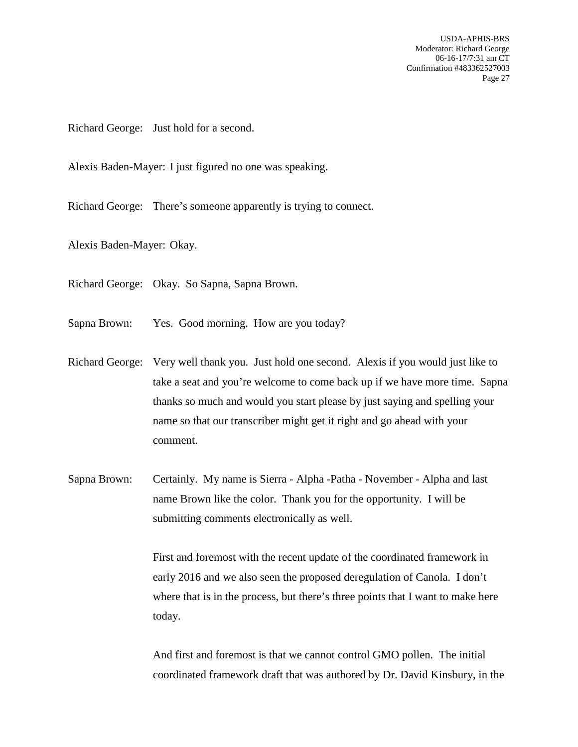USDA-APHIS-BRS Moderator: Richard George 06-16-17/7:31 am CT Confirmation #483362527003 Page 27

Richard George: Just hold for a second.

Alexis Baden-Mayer: I just figured no one was speaking.

Richard George: There's someone apparently is trying to connect.

Alexis Baden-Mayer: Okay.

Richard George: Okay. So Sapna, Sapna Brown.

Sapna Brown: Yes. Good morning. How are you today?

- Richard George: Very well thank you. Just hold one second. Alexis if you would just like to take a seat and you're welcome to come back up if we have more time. Sapna thanks so much and would you start please by just saying and spelling your name so that our transcriber might get it right and go ahead with your comment.
- Sapna Brown: Certainly. My name is Sierra Alpha -Patha November Alpha and last name Brown like the color. Thank you for the opportunity. I will be submitting comments electronically as well.

First and foremost with the recent update of the coordinated framework in early 2016 and we also seen the proposed deregulation of Canola. I don't where that is in the process, but there's three points that I want to make here today.

And first and foremost is that we cannot control GMO pollen. The initial coordinated framework draft that was authored by Dr. David Kinsbury, in the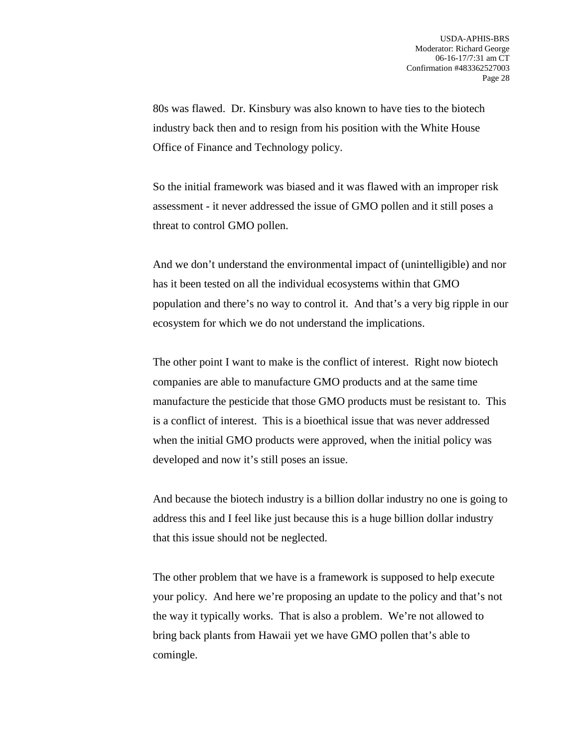80s was flawed. Dr. Kinsbury was also known to have ties to the biotech industry back then and to resign from his position with the White House Office of Finance and Technology policy.

So the initial framework was biased and it was flawed with an improper risk assessment - it never addressed the issue of GMO pollen and it still poses a threat to control GMO pollen.

And we don't understand the environmental impact of (unintelligible) and nor has it been tested on all the individual ecosystems within that GMO population and there's no way to control it. And that's a very big ripple in our ecosystem for which we do not understand the implications.

The other point I want to make is the conflict of interest. Right now biotech companies are able to manufacture GMO products and at the same time manufacture the pesticide that those GMO products must be resistant to. This is a conflict of interest. This is a bioethical issue that was never addressed when the initial GMO products were approved, when the initial policy was developed and now it's still poses an issue.

And because the biotech industry is a billion dollar industry no one is going to address this and I feel like just because this is a huge billion dollar industry that this issue should not be neglected.

The other problem that we have is a framework is supposed to help execute your policy. And here we're proposing an update to the policy and that's not the way it typically works. That is also a problem. We're not allowed to bring back plants from Hawaii yet we have GMO pollen that's able to comingle.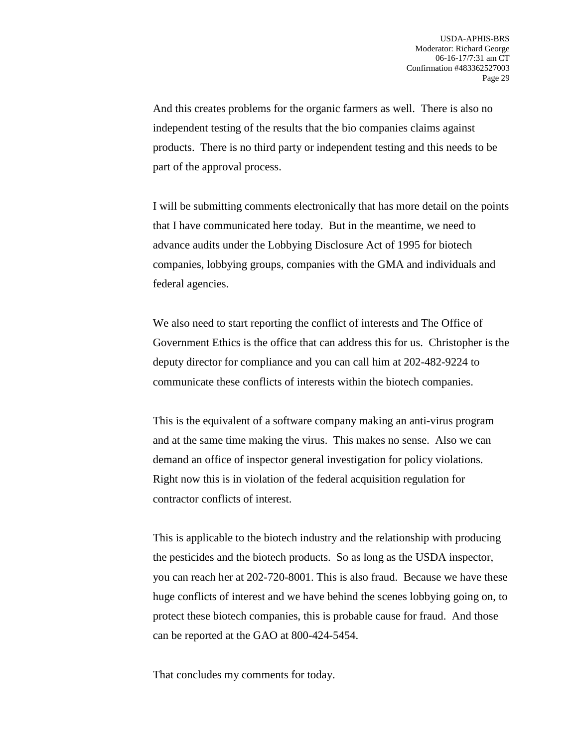And this creates problems for the organic farmers as well. There is also no independent testing of the results that the bio companies claims against products. There is no third party or independent testing and this needs to be part of the approval process.

I will be submitting comments electronically that has more detail on the points that I have communicated here today. But in the meantime, we need to advance audits under the Lobbying Disclosure Act of 1995 for biotech companies, lobbying groups, companies with the GMA and individuals and federal agencies.

We also need to start reporting the conflict of interests and The Office of Government Ethics is the office that can address this for us. Christopher is the deputy director for compliance and you can call him at 202-482-9224 to communicate these conflicts of interests within the biotech companies.

This is the equivalent of a software company making an anti-virus program and at the same time making the virus. This makes no sense. Also we can demand an office of inspector general investigation for policy violations. Right now this is in violation of the federal acquisition regulation for contractor conflicts of interest.

This is applicable to the biotech industry and the relationship with producing the pesticides and the biotech products. So as long as the USDA inspector, you can reach her at 202-720-8001. This is also fraud. Because we have these huge conflicts of interest and we have behind the scenes lobbying going on, to protect these biotech companies, this is probable cause for fraud. And those can be reported at the GAO at 800-424-5454.

That concludes my comments for today.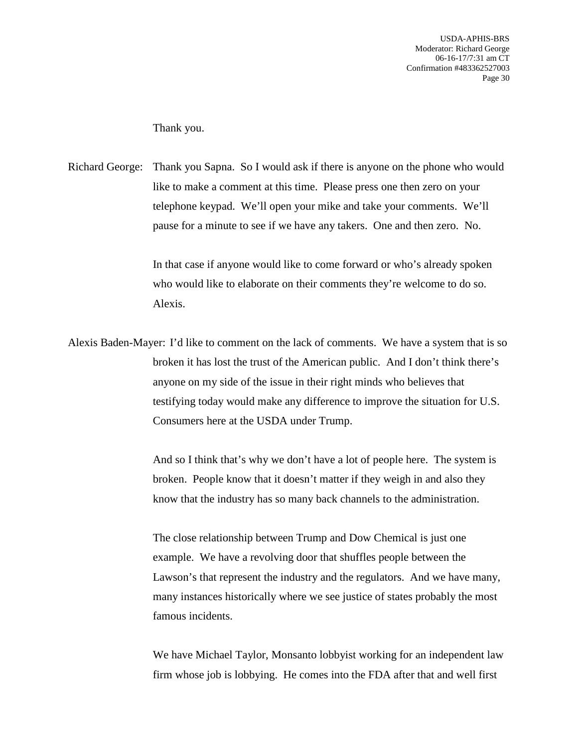USDA-APHIS-BRS Moderator: Richard George 06-16-17/7:31 am CT Confirmation #483362527003 Page 30

Thank you.

Richard George: Thank you Sapna. So I would ask if there is anyone on the phone who would like to make a comment at this time. Please press one then zero on your telephone keypad. We'll open your mike and take your comments. We'll pause for a minute to see if we have any takers. One and then zero. No.

> In that case if anyone would like to come forward or who's already spoken who would like to elaborate on their comments they're welcome to do so. Alexis.

Alexis Baden-Mayer: I'd like to comment on the lack of comments. We have a system that is so broken it has lost the trust of the American public. And I don't think there's anyone on my side of the issue in their right minds who believes that testifying today would make any difference to improve the situation for U.S. Consumers here at the USDA under Trump.

> And so I think that's why we don't have a lot of people here. The system is broken. People know that it doesn't matter if they weigh in and also they know that the industry has so many back channels to the administration.

The close relationship between Trump and Dow Chemical is just one example. We have a revolving door that shuffles people between the Lawson's that represent the industry and the regulators. And we have many, many instances historically where we see justice of states probably the most famous incidents.

We have Michael Taylor, Monsanto lobbyist working for an independent law firm whose job is lobbying. He comes into the FDA after that and well first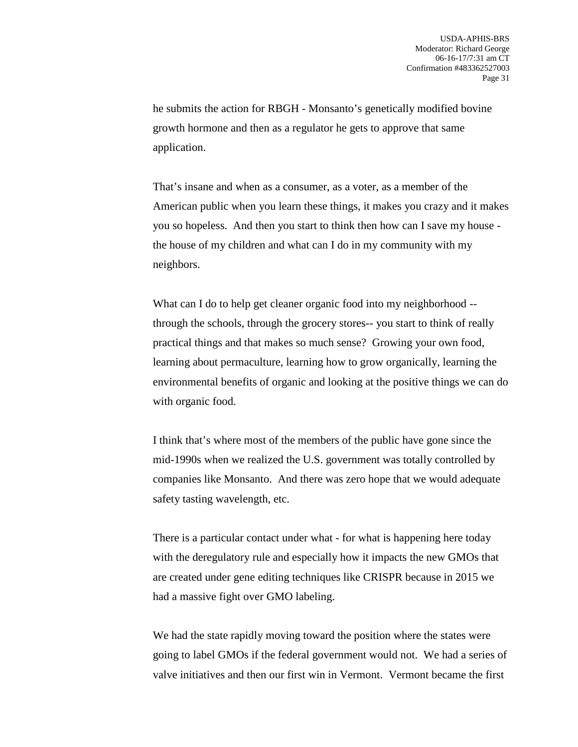he submits the action for RBGH - Monsanto's genetically modified bovine growth hormone and then as a regulator he gets to approve that same application.

That's insane and when as a consumer, as a voter, as a member of the American public when you learn these things, it makes you crazy and it makes you so hopeless. And then you start to think then how can I save my house the house of my children and what can I do in my community with my neighbors.

What can I do to help get cleaner organic food into my neighborhood -through the schools, through the grocery stores-- you start to think of really practical things and that makes so much sense? Growing your own food, learning about permaculture, learning how to grow organically, learning the environmental benefits of organic and looking at the positive things we can do with organic food.

I think that's where most of the members of the public have gone since the mid-1990s when we realized the U.S. government was totally controlled by companies like Monsanto. And there was zero hope that we would adequate safety tasting wavelength, etc.

There is a particular contact under what - for what is happening here today with the deregulatory rule and especially how it impacts the new GMOs that are created under gene editing techniques like CRISPR because in 2015 we had a massive fight over GMO labeling.

We had the state rapidly moving toward the position where the states were going to label GMOs if the federal government would not. We had a series of valve initiatives and then our first win in Vermont. Vermont became the first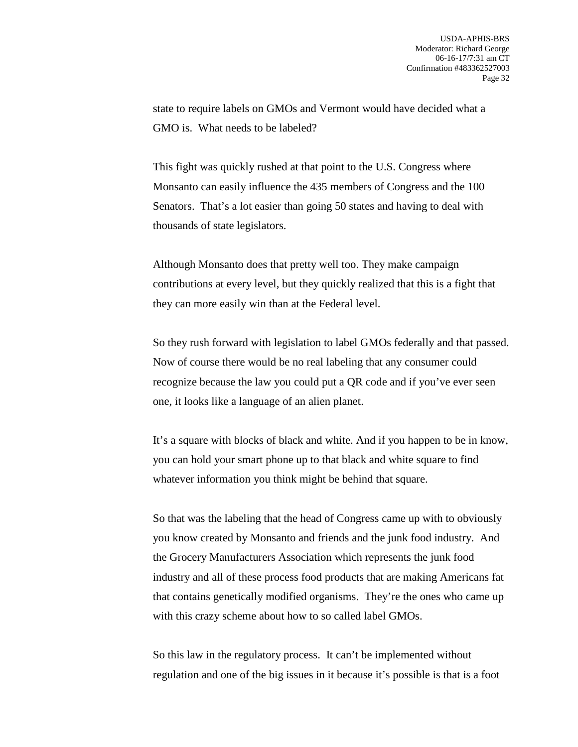state to require labels on GMOs and Vermont would have decided what a GMO is. What needs to be labeled?

This fight was quickly rushed at that point to the U.S. Congress where Monsanto can easily influence the 435 members of Congress and the 100 Senators. That's a lot easier than going 50 states and having to deal with thousands of state legislators.

Although Monsanto does that pretty well too. They make campaign contributions at every level, but they quickly realized that this is a fight that they can more easily win than at the Federal level.

So they rush forward with legislation to label GMOs federally and that passed. Now of course there would be no real labeling that any consumer could recognize because the law you could put a QR code and if you've ever seen one, it looks like a language of an alien planet.

It's a square with blocks of black and white. And if you happen to be in know, you can hold your smart phone up to that black and white square to find whatever information you think might be behind that square.

So that was the labeling that the head of Congress came up with to obviously you know created by Monsanto and friends and the junk food industry. And the Grocery Manufacturers Association which represents the junk food industry and all of these process food products that are making Americans fat that contains genetically modified organisms. They're the ones who came up with this crazy scheme about how to so called label GMOs.

So this law in the regulatory process. It can't be implemented without regulation and one of the big issues in it because it's possible is that is a foot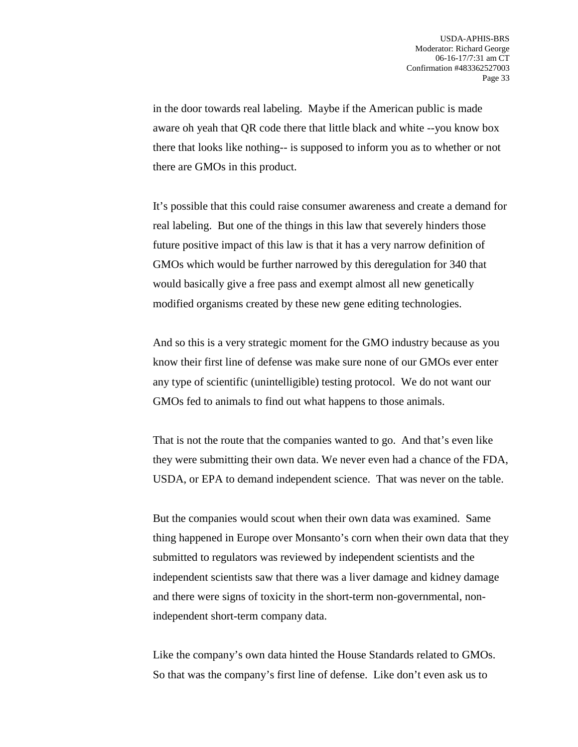in the door towards real labeling. Maybe if the American public is made aware oh yeah that QR code there that little black and white --you know box there that looks like nothing-- is supposed to inform you as to whether or not there are GMOs in this product.

It's possible that this could raise consumer awareness and create a demand for real labeling. But one of the things in this law that severely hinders those future positive impact of this law is that it has a very narrow definition of GMOs which would be further narrowed by this deregulation for 340 that would basically give a free pass and exempt almost all new genetically modified organisms created by these new gene editing technologies.

And so this is a very strategic moment for the GMO industry because as you know their first line of defense was make sure none of our GMOs ever enter any type of scientific (unintelligible) testing protocol. We do not want our GMOs fed to animals to find out what happens to those animals.

That is not the route that the companies wanted to go. And that's even like they were submitting their own data. We never even had a chance of the FDA, USDA, or EPA to demand independent science. That was never on the table.

But the companies would scout when their own data was examined. Same thing happened in Europe over Monsanto's corn when their own data that they submitted to regulators was reviewed by independent scientists and the independent scientists saw that there was a liver damage and kidney damage and there were signs of toxicity in the short-term non-governmental, nonindependent short-term company data.

Like the company's own data hinted the House Standards related to GMOs. So that was the company's first line of defense. Like don't even ask us to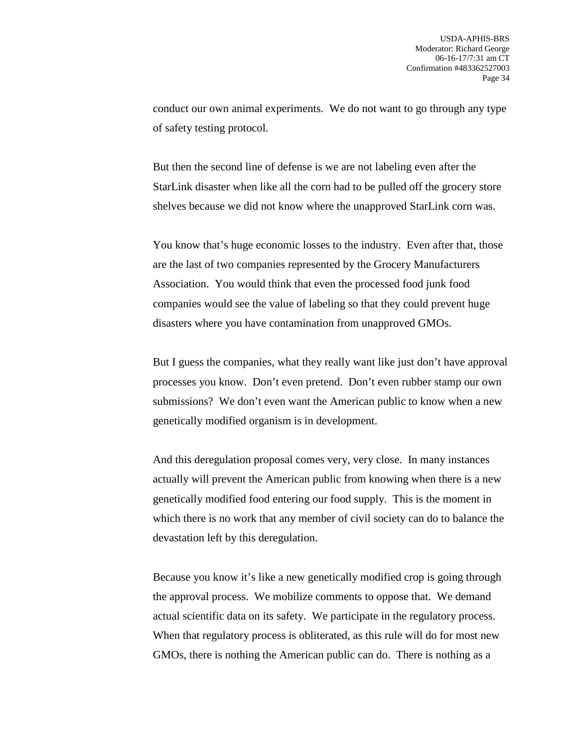conduct our own animal experiments. We do not want to go through any type of safety testing protocol.

But then the second line of defense is we are not labeling even after the StarLink disaster when like all the corn had to be pulled off the grocery store shelves because we did not know where the unapproved StarLink corn was.

You know that's huge economic losses to the industry. Even after that, those are the last of two companies represented by the Grocery Manufacturers Association. You would think that even the processed food junk food companies would see the value of labeling so that they could prevent huge disasters where you have contamination from unapproved GMOs.

But I guess the companies, what they really want like just don't have approval processes you know. Don't even pretend. Don't even rubber stamp our own submissions? We don't even want the American public to know when a new genetically modified organism is in development.

And this deregulation proposal comes very, very close. In many instances actually will prevent the American public from knowing when there is a new genetically modified food entering our food supply. This is the moment in which there is no work that any member of civil society can do to balance the devastation left by this deregulation.

Because you know it's like a new genetically modified crop is going through the approval process. We mobilize comments to oppose that. We demand actual scientific data on its safety. We participate in the regulatory process. When that regulatory process is obliterated, as this rule will do for most new GMOs, there is nothing the American public can do. There is nothing as a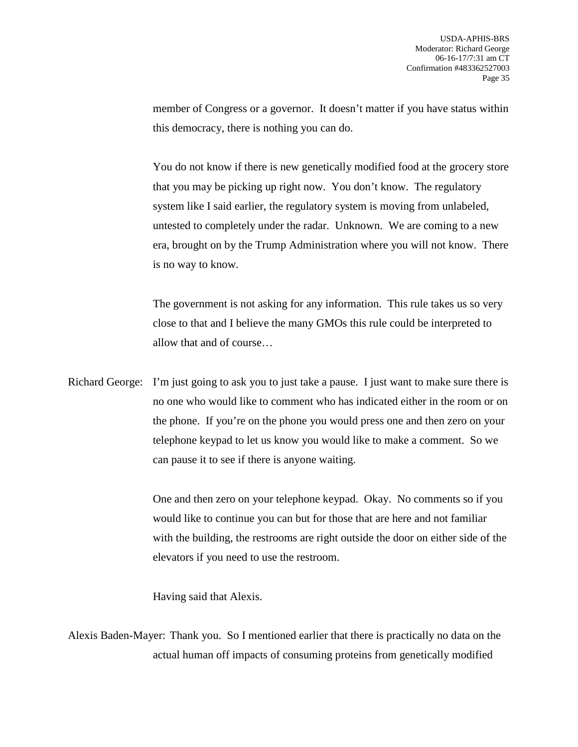member of Congress or a governor. It doesn't matter if you have status within this democracy, there is nothing you can do.

You do not know if there is new genetically modified food at the grocery store that you may be picking up right now. You don't know. The regulatory system like I said earlier, the regulatory system is moving from unlabeled, untested to completely under the radar. Unknown. We are coming to a new era, brought on by the Trump Administration where you will not know. There is no way to know.

The government is not asking for any information. This rule takes us so very close to that and I believe the many GMOs this rule could be interpreted to allow that and of course…

Richard George: I'm just going to ask you to just take a pause. I just want to make sure there is no one who would like to comment who has indicated either in the room or on the phone. If you're on the phone you would press one and then zero on your telephone keypad to let us know you would like to make a comment. So we can pause it to see if there is anyone waiting.

> One and then zero on your telephone keypad. Okay. No comments so if you would like to continue you can but for those that are here and not familiar with the building, the restrooms are right outside the door on either side of the elevators if you need to use the restroom.

Having said that Alexis.

Alexis Baden-Mayer: Thank you. So I mentioned earlier that there is practically no data on the actual human off impacts of consuming proteins from genetically modified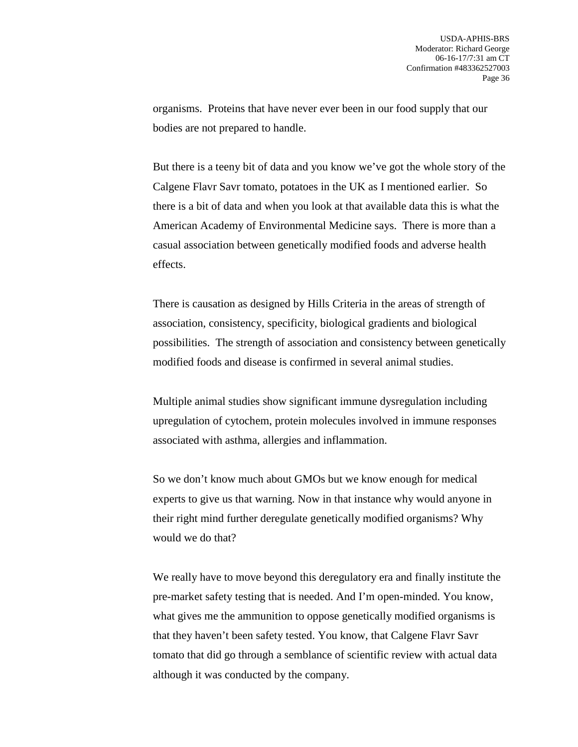organisms. Proteins that have never ever been in our food supply that our bodies are not prepared to handle.

But there is a teeny bit of data and you know we've got the whole story of the Calgene Flavr Savr tomato, potatoes in the UK as I mentioned earlier. So there is a bit of data and when you look at that available data this is what the American Academy of Environmental Medicine says. There is more than a casual association between genetically modified foods and adverse health effects.

There is causation as designed by Hills Criteria in the areas of strength of association, consistency, specificity, biological gradients and biological possibilities. The strength of association and consistency between genetically modified foods and disease is confirmed in several animal studies.

Multiple animal studies show significant immune dysregulation including upregulation of cytochem, protein molecules involved in immune responses associated with asthma, allergies and inflammation.

So we don't know much about GMOs but we know enough for medical experts to give us that warning. Now in that instance why would anyone in their right mind further deregulate genetically modified organisms? Why would we do that?

We really have to move beyond this deregulatory era and finally institute the pre-market safety testing that is needed. And I'm open-minded. You know, what gives me the ammunition to oppose genetically modified organisms is that they haven't been safety tested. You know, that Calgene Flavr Savr tomato that did go through a semblance of scientific review with actual data although it was conducted by the company.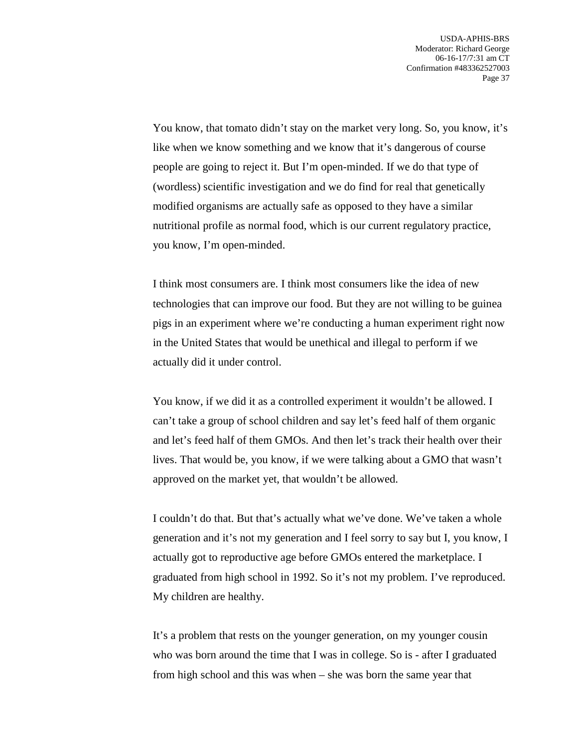You know, that tomato didn't stay on the market very long. So, you know, it's like when we know something and we know that it's dangerous of course people are going to reject it. But I'm open-minded. If we do that type of (wordless) scientific investigation and we do find for real that genetically modified organisms are actually safe as opposed to they have a similar nutritional profile as normal food, which is our current regulatory practice, you know, I'm open-minded.

I think most consumers are. I think most consumers like the idea of new technologies that can improve our food. But they are not willing to be guinea pigs in an experiment where we're conducting a human experiment right now in the United States that would be unethical and illegal to perform if we actually did it under control.

You know, if we did it as a controlled experiment it wouldn't be allowed. I can't take a group of school children and say let's feed half of them organic and let's feed half of them GMOs. And then let's track their health over their lives. That would be, you know, if we were talking about a GMO that wasn't approved on the market yet, that wouldn't be allowed.

I couldn't do that. But that's actually what we've done. We've taken a whole generation and it's not my generation and I feel sorry to say but I, you know, I actually got to reproductive age before GMOs entered the marketplace. I graduated from high school in 1992. So it's not my problem. I've reproduced. My children are healthy.

It's a problem that rests on the younger generation, on my younger cousin who was born around the time that I was in college. So is - after I graduated from high school and this was when – she was born the same year that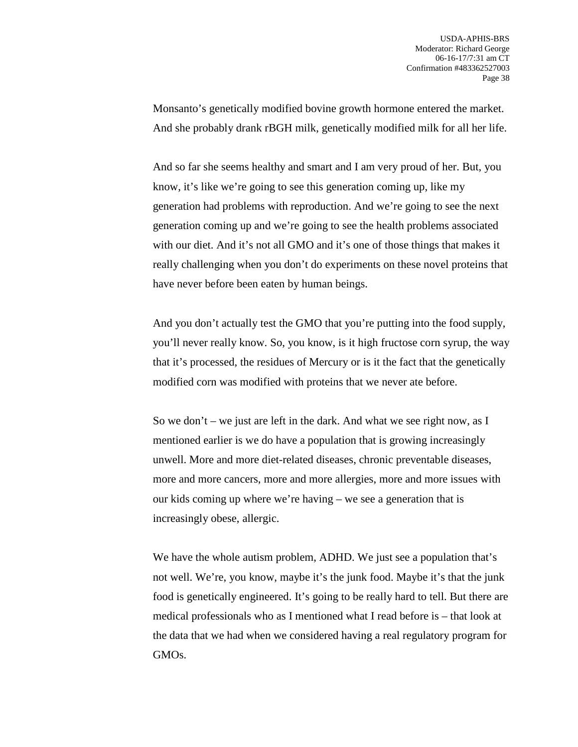Monsanto's genetically modified bovine growth hormone entered the market. And she probably drank rBGH milk, genetically modified milk for all her life.

And so far she seems healthy and smart and I am very proud of her. But, you know, it's like we're going to see this generation coming up, like my generation had problems with reproduction. And we're going to see the next generation coming up and we're going to see the health problems associated with our diet. And it's not all GMO and it's one of those things that makes it really challenging when you don't do experiments on these novel proteins that have never before been eaten by human beings.

And you don't actually test the GMO that you're putting into the food supply, you'll never really know. So, you know, is it high fructose corn syrup, the way that it's processed, the residues of Mercury or is it the fact that the genetically modified corn was modified with proteins that we never ate before.

So we don't – we just are left in the dark. And what we see right now, as I mentioned earlier is we do have a population that is growing increasingly unwell. More and more diet-related diseases, chronic preventable diseases, more and more cancers, more and more allergies, more and more issues with our kids coming up where we're having – we see a generation that is increasingly obese, allergic.

We have the whole autism problem, ADHD. We just see a population that's not well. We're, you know, maybe it's the junk food. Maybe it's that the junk food is genetically engineered. It's going to be really hard to tell. But there are medical professionals who as I mentioned what I read before is – that look at the data that we had when we considered having a real regulatory program for GMOs.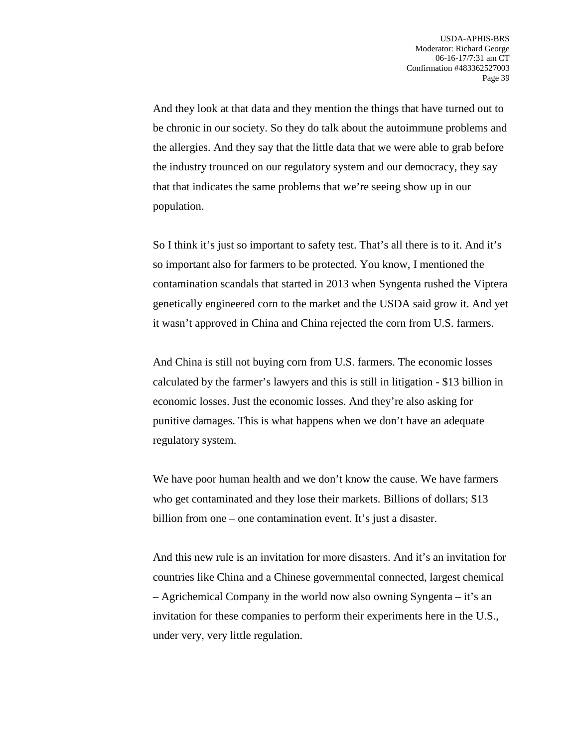And they look at that data and they mention the things that have turned out to be chronic in our society. So they do talk about the autoimmune problems and the allergies. And they say that the little data that we were able to grab before the industry trounced on our regulatory system and our democracy, they say that that indicates the same problems that we're seeing show up in our population.

So I think it's just so important to safety test. That's all there is to it. And it's so important also for farmers to be protected. You know, I mentioned the contamination scandals that started in 2013 when Syngenta rushed the Viptera genetically engineered corn to the market and the USDA said grow it. And yet it wasn't approved in China and China rejected the corn from U.S. farmers.

And China is still not buying corn from U.S. farmers. The economic losses calculated by the farmer's lawyers and this is still in litigation - \$13 billion in economic losses. Just the economic losses. And they're also asking for punitive damages. This is what happens when we don't have an adequate regulatory system.

We have poor human health and we don't know the cause. We have farmers who get contaminated and they lose their markets. Billions of dollars; \$13 billion from one – one contamination event. It's just a disaster.

And this new rule is an invitation for more disasters. And it's an invitation for countries like China and a Chinese governmental connected, largest chemical – Agrichemical Company in the world now also owning Syngenta – it's an invitation for these companies to perform their experiments here in the U.S., under very, very little regulation.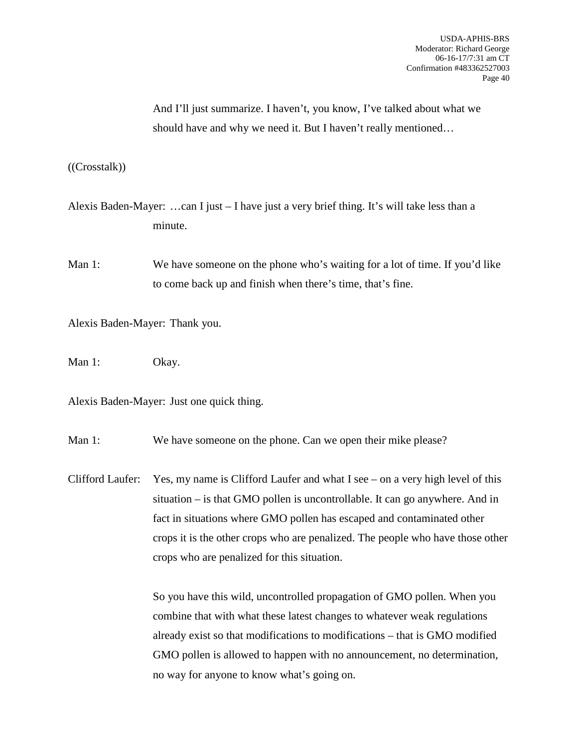And I'll just summarize. I haven't, you know, I've talked about what we should have and why we need it. But I haven't really mentioned…

((Crosstalk))

- Alexis Baden-Mayer: …can I just I have just a very brief thing. It's will take less than a minute.
- Man 1: We have someone on the phone who's waiting for a lot of time. If you'd like to come back up and finish when there's time, that's fine.

Alexis Baden-Mayer: Thank you.

Man 1: Okay.

Alexis Baden-Mayer: Just one quick thing.

Man 1: We have someone on the phone. Can we open their mike please?

Clifford Laufer: Yes, my name is Clifford Laufer and what I see – on a very high level of this situation – is that GMO pollen is uncontrollable. It can go anywhere. And in fact in situations where GMO pollen has escaped and contaminated other crops it is the other crops who are penalized. The people who have those other crops who are penalized for this situation.

> So you have this wild, uncontrolled propagation of GMO pollen. When you combine that with what these latest changes to whatever weak regulations already exist so that modifications to modifications – that is GMO modified GMO pollen is allowed to happen with no announcement, no determination, no way for anyone to know what's going on.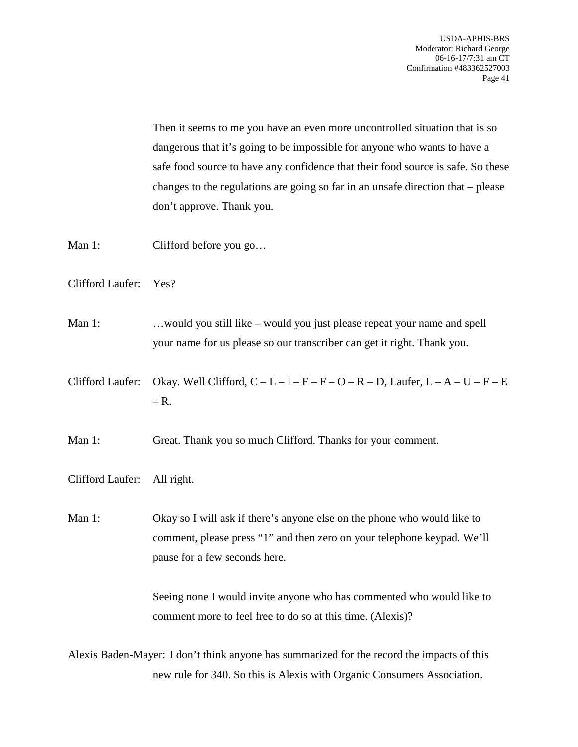Then it seems to me you have an even more uncontrolled situation that is so dangerous that it's going to be impossible for anyone who wants to have a safe food source to have any confidence that their food source is safe. So these changes to the regulations are going so far in an unsafe direction that – please don't approve. Thank you.

Man 1: Clifford before you go...

Clifford Laufer: Yes?

Man 1: ... would you still like – would you just please repeat your name and spell your name for us please so our transcriber can get it right. Thank you.

Clifford Laufer: Okay. Well Clifford,  $C - L - I - F - F - O - R - D$ , Laufer,  $L - A - U - F - E$  $- R$ .

Man 1: Great. Thank you so much Clifford. Thanks for your comment.

Clifford Laufer: All right.

Man 1: Okay so I will ask if there's anyone else on the phone who would like to comment, please press "1" and then zero on your telephone keypad. We'll pause for a few seconds here.

> Seeing none I would invite anyone who has commented who would like to comment more to feel free to do so at this time. (Alexis)?

Alexis Baden-Mayer: I don't think anyone has summarized for the record the impacts of this new rule for 340. So this is Alexis with Organic Consumers Association.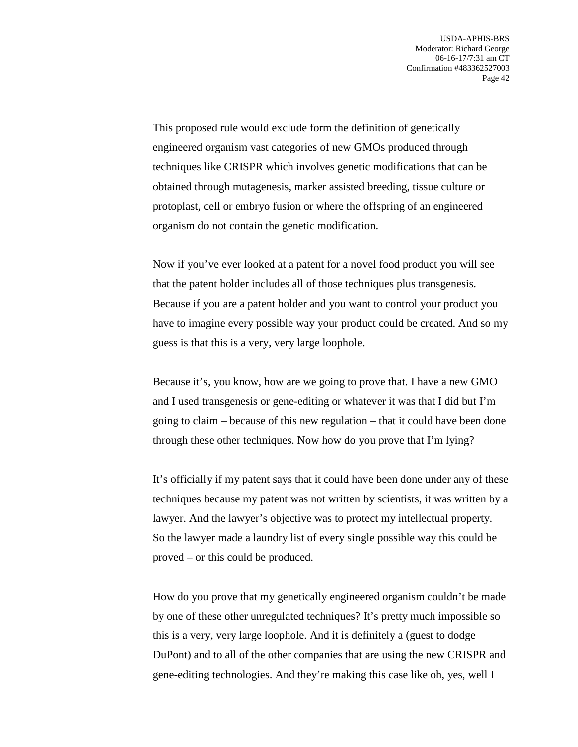This proposed rule would exclude form the definition of genetically engineered organism vast categories of new GMOs produced through techniques like CRISPR which involves genetic modifications that can be obtained through mutagenesis, marker assisted breeding, tissue culture or protoplast, cell or embryo fusion or where the offspring of an engineered organism do not contain the genetic modification.

Now if you've ever looked at a patent for a novel food product you will see that the patent holder includes all of those techniques plus transgenesis. Because if you are a patent holder and you want to control your product you have to imagine every possible way your product could be created. And so my guess is that this is a very, very large loophole.

Because it's, you know, how are we going to prove that. I have a new GMO and I used transgenesis or gene-editing or whatever it was that I did but I'm going to claim – because of this new regulation – that it could have been done through these other techniques. Now how do you prove that I'm lying?

It's officially if my patent says that it could have been done under any of these techniques because my patent was not written by scientists, it was written by a lawyer. And the lawyer's objective was to protect my intellectual property. So the lawyer made a laundry list of every single possible way this could be proved – or this could be produced.

How do you prove that my genetically engineered organism couldn't be made by one of these other unregulated techniques? It's pretty much impossible so this is a very, very large loophole. And it is definitely a (guest to dodge DuPont) and to all of the other companies that are using the new CRISPR and gene-editing technologies. And they're making this case like oh, yes, well I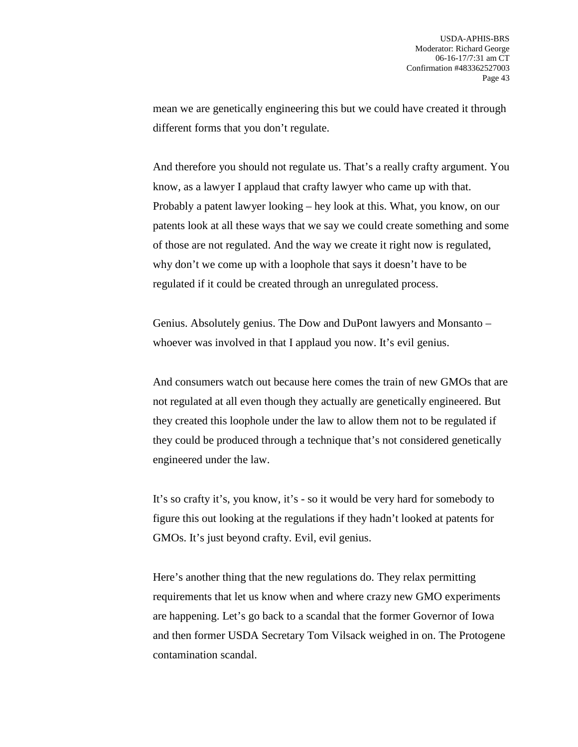mean we are genetically engineering this but we could have created it through different forms that you don't regulate.

And therefore you should not regulate us. That's a really crafty argument. You know, as a lawyer I applaud that crafty lawyer who came up with that. Probably a patent lawyer looking – hey look at this. What, you know, on our patents look at all these ways that we say we could create something and some of those are not regulated. And the way we create it right now is regulated, why don't we come up with a loophole that says it doesn't have to be regulated if it could be created through an unregulated process.

Genius. Absolutely genius. The Dow and DuPont lawyers and Monsanto – whoever was involved in that I applaud you now. It's evil genius.

And consumers watch out because here comes the train of new GMOs that are not regulated at all even though they actually are genetically engineered. But they created this loophole under the law to allow them not to be regulated if they could be produced through a technique that's not considered genetically engineered under the law.

It's so crafty it's, you know, it's - so it would be very hard for somebody to figure this out looking at the regulations if they hadn't looked at patents for GMOs. It's just beyond crafty. Evil, evil genius.

Here's another thing that the new regulations do. They relax permitting requirements that let us know when and where crazy new GMO experiments are happening. Let's go back to a scandal that the former Governor of Iowa and then former USDA Secretary Tom Vilsack weighed in on. The Protogene contamination scandal.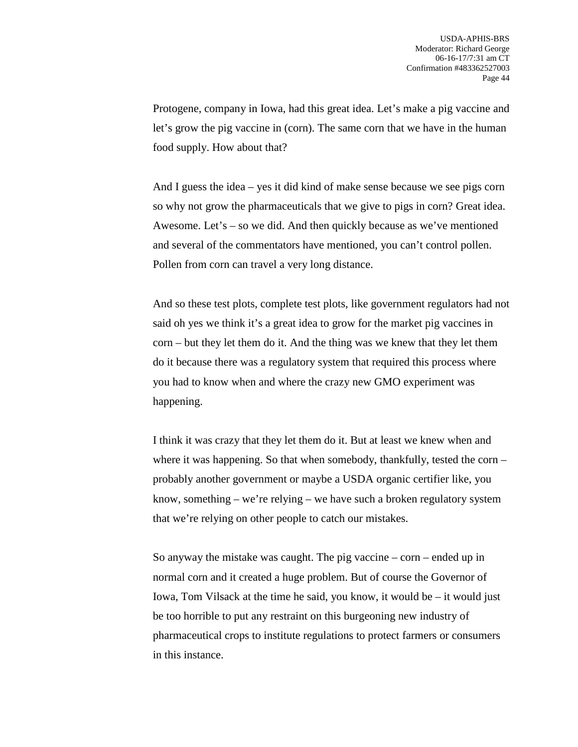Protogene, company in Iowa, had this great idea. Let's make a pig vaccine and let's grow the pig vaccine in (corn). The same corn that we have in the human food supply. How about that?

And I guess the idea – yes it did kind of make sense because we see pigs corn so why not grow the pharmaceuticals that we give to pigs in corn? Great idea. Awesome. Let's – so we did. And then quickly because as we've mentioned and several of the commentators have mentioned, you can't control pollen. Pollen from corn can travel a very long distance.

And so these test plots, complete test plots, like government regulators had not said oh yes we think it's a great idea to grow for the market pig vaccines in corn – but they let them do it. And the thing was we knew that they let them do it because there was a regulatory system that required this process where you had to know when and where the crazy new GMO experiment was happening.

I think it was crazy that they let them do it. But at least we knew when and where it was happening. So that when somebody, thankfully, tested the corn – probably another government or maybe a USDA organic certifier like, you know, something – we're relying – we have such a broken regulatory system that we're relying on other people to catch our mistakes.

So anyway the mistake was caught. The pig vaccine  $-\text{corn}-$  ended up in normal corn and it created a huge problem. But of course the Governor of Iowa, Tom Vilsack at the time he said, you know, it would be – it would just be too horrible to put any restraint on this burgeoning new industry of pharmaceutical crops to institute regulations to protect farmers or consumers in this instance.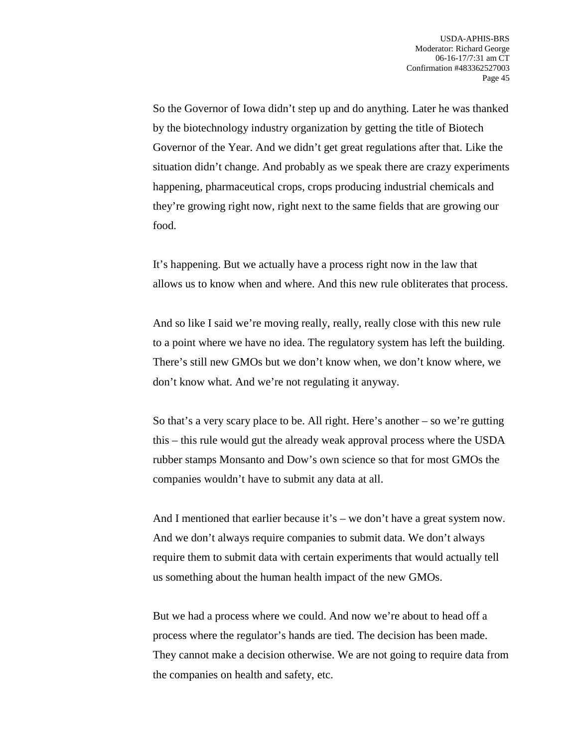So the Governor of Iowa didn't step up and do anything. Later he was thanked by the biotechnology industry organization by getting the title of Biotech Governor of the Year. And we didn't get great regulations after that. Like the situation didn't change. And probably as we speak there are crazy experiments happening, pharmaceutical crops, crops producing industrial chemicals and they're growing right now, right next to the same fields that are growing our food.

It's happening. But we actually have a process right now in the law that allows us to know when and where. And this new rule obliterates that process.

And so like I said we're moving really, really, really close with this new rule to a point where we have no idea. The regulatory system has left the building. There's still new GMOs but we don't know when, we don't know where, we don't know what. And we're not regulating it anyway.

So that's a very scary place to be. All right. Here's another – so we're gutting this – this rule would gut the already weak approval process where the USDA rubber stamps Monsanto and Dow's own science so that for most GMOs the companies wouldn't have to submit any data at all.

And I mentioned that earlier because it's – we don't have a great system now. And we don't always require companies to submit data. We don't always require them to submit data with certain experiments that would actually tell us something about the human health impact of the new GMOs.

But we had a process where we could. And now we're about to head off a process where the regulator's hands are tied. The decision has been made. They cannot make a decision otherwise. We are not going to require data from the companies on health and safety, etc.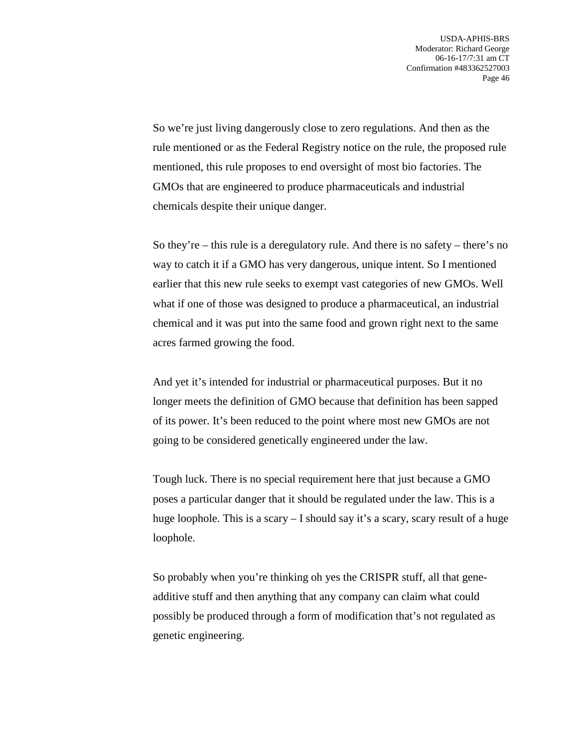So we're just living dangerously close to zero regulations. And then as the rule mentioned or as the Federal Registry notice on the rule, the proposed rule mentioned, this rule proposes to end oversight of most bio factories. The GMOs that are engineered to produce pharmaceuticals and industrial chemicals despite their unique danger.

So they're – this rule is a deregulatory rule. And there is no safety – there's no way to catch it if a GMO has very dangerous, unique intent. So I mentioned earlier that this new rule seeks to exempt vast categories of new GMOs. Well what if one of those was designed to produce a pharmaceutical, an industrial chemical and it was put into the same food and grown right next to the same acres farmed growing the food.

And yet it's intended for industrial or pharmaceutical purposes. But it no longer meets the definition of GMO because that definition has been sapped of its power. It's been reduced to the point where most new GMOs are not going to be considered genetically engineered under the law.

Tough luck. There is no special requirement here that just because a GMO poses a particular danger that it should be regulated under the law. This is a huge loophole. This is a scary  $-1$  should say it's a scary, scary result of a huge loophole.

So probably when you're thinking oh yes the CRISPR stuff, all that geneadditive stuff and then anything that any company can claim what could possibly be produced through a form of modification that's not regulated as genetic engineering.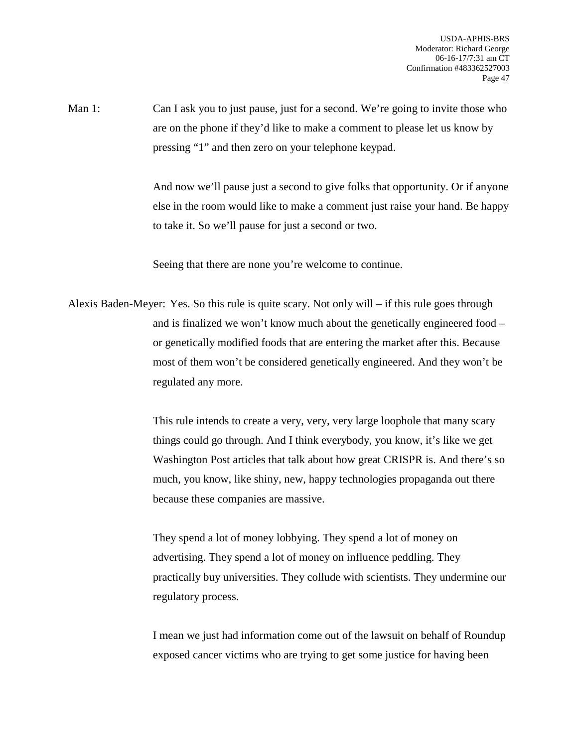Man 1: Can I ask you to just pause, just for a second. We're going to invite those who are on the phone if they'd like to make a comment to please let us know by pressing "1" and then zero on your telephone keypad.

> And now we'll pause just a second to give folks that opportunity. Or if anyone else in the room would like to make a comment just raise your hand. Be happy to take it. So we'll pause for just a second or two.

Seeing that there are none you're welcome to continue.

Alexis Baden-Meyer: Yes. So this rule is quite scary. Not only will – if this rule goes through and is finalized we won't know much about the genetically engineered food – or genetically modified foods that are entering the market after this. Because most of them won't be considered genetically engineered. And they won't be regulated any more.

> This rule intends to create a very, very, very large loophole that many scary things could go through. And I think everybody, you know, it's like we get Washington Post articles that talk about how great CRISPR is. And there's so much, you know, like shiny, new, happy technologies propaganda out there because these companies are massive.

> They spend a lot of money lobbying. They spend a lot of money on advertising. They spend a lot of money on influence peddling. They practically buy universities. They collude with scientists. They undermine our regulatory process.

> I mean we just had information come out of the lawsuit on behalf of Roundup exposed cancer victims who are trying to get some justice for having been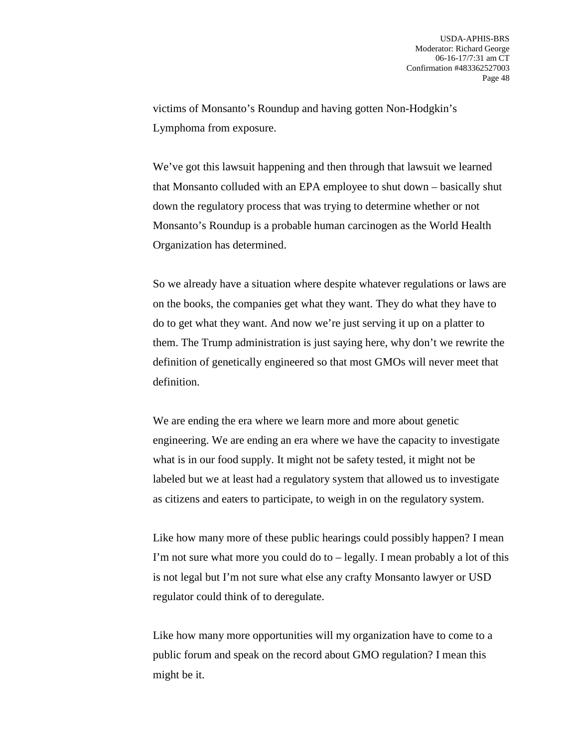victims of Monsanto's Roundup and having gotten Non-Hodgkin's Lymphoma from exposure.

We've got this lawsuit happening and then through that lawsuit we learned that Monsanto colluded with an EPA employee to shut down – basically shut down the regulatory process that was trying to determine whether or not Monsanto's Roundup is a probable human carcinogen as the World Health Organization has determined.

So we already have a situation where despite whatever regulations or laws are on the books, the companies get what they want. They do what they have to do to get what they want. And now we're just serving it up on a platter to them. The Trump administration is just saying here, why don't we rewrite the definition of genetically engineered so that most GMOs will never meet that definition.

We are ending the era where we learn more and more about genetic engineering. We are ending an era where we have the capacity to investigate what is in our food supply. It might not be safety tested, it might not be labeled but we at least had a regulatory system that allowed us to investigate as citizens and eaters to participate, to weigh in on the regulatory system.

Like how many more of these public hearings could possibly happen? I mean I'm not sure what more you could do to – legally. I mean probably a lot of this is not legal but I'm not sure what else any crafty Monsanto lawyer or USD regulator could think of to deregulate.

Like how many more opportunities will my organization have to come to a public forum and speak on the record about GMO regulation? I mean this might be it.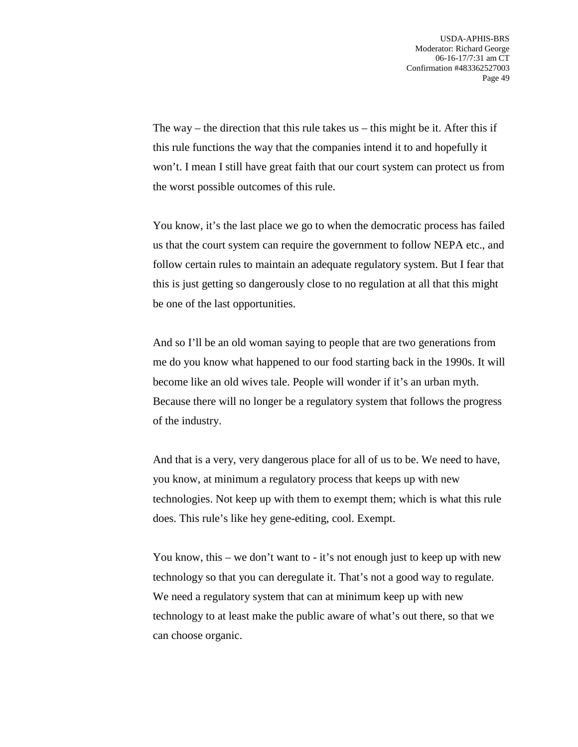The way – the direction that this rule takes us – this might be it. After this if this rule functions the way that the companies intend it to and hopefully it won't. I mean I still have great faith that our court system can protect us from the worst possible outcomes of this rule.

You know, it's the last place we go to when the democratic process has failed us that the court system can require the government to follow NEPA etc., and follow certain rules to maintain an adequate regulatory system. But I fear that this is just getting so dangerously close to no regulation at all that this might be one of the last opportunities.

And so I'll be an old woman saying to people that are two generations from me do you know what happened to our food starting back in the 1990s. It will become like an old wives tale. People will wonder if it's an urban myth. Because there will no longer be a regulatory system that follows the progress of the industry.

And that is a very, very dangerous place for all of us to be. We need to have, you know, at minimum a regulatory process that keeps up with new technologies. Not keep up with them to exempt them; which is what this rule does. This rule's like hey gene-editing, cool. Exempt.

You know, this – we don't want to - it's not enough just to keep up with new technology so that you can deregulate it. That's not a good way to regulate. We need a regulatory system that can at minimum keep up with new technology to at least make the public aware of what's out there, so that we can choose organic.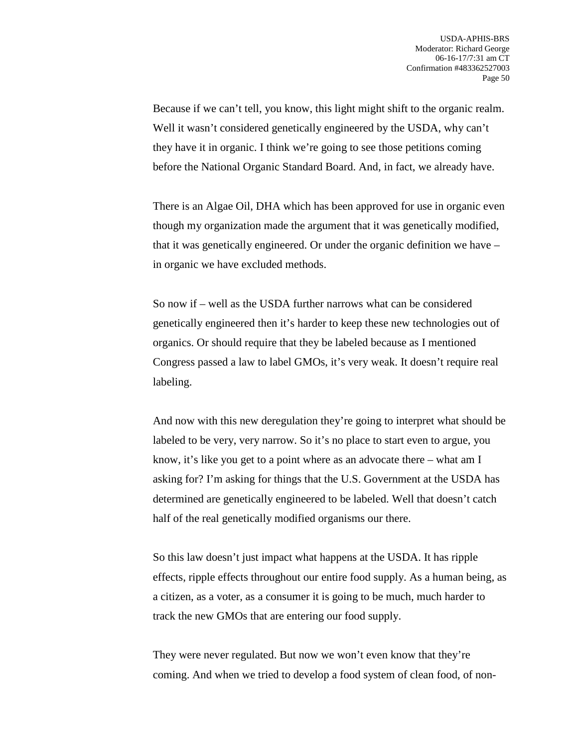Because if we can't tell, you know, this light might shift to the organic realm. Well it wasn't considered genetically engineered by the USDA, why can't they have it in organic. I think we're going to see those petitions coming before the National Organic Standard Board. And, in fact, we already have.

There is an Algae Oil, DHA which has been approved for use in organic even though my organization made the argument that it was genetically modified, that it was genetically engineered. Or under the organic definition we have – in organic we have excluded methods.

So now if – well as the USDA further narrows what can be considered genetically engineered then it's harder to keep these new technologies out of organics. Or should require that they be labeled because as I mentioned Congress passed a law to label GMOs, it's very weak. It doesn't require real labeling.

And now with this new deregulation they're going to interpret what should be labeled to be very, very narrow. So it's no place to start even to argue, you know, it's like you get to a point where as an advocate there – what am I asking for? I'm asking for things that the U.S. Government at the USDA has determined are genetically engineered to be labeled. Well that doesn't catch half of the real genetically modified organisms our there.

So this law doesn't just impact what happens at the USDA. It has ripple effects, ripple effects throughout our entire food supply. As a human being, as a citizen, as a voter, as a consumer it is going to be much, much harder to track the new GMOs that are entering our food supply.

They were never regulated. But now we won't even know that they're coming. And when we tried to develop a food system of clean food, of non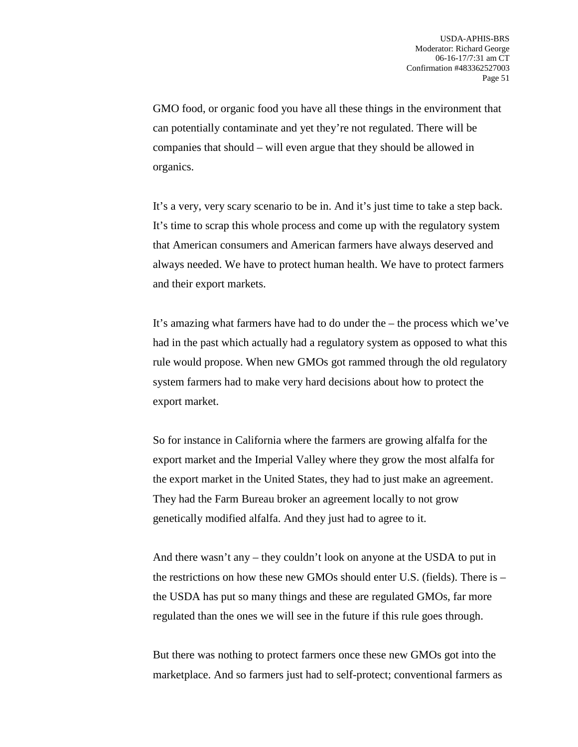GMO food, or organic food you have all these things in the environment that can potentially contaminate and yet they're not regulated. There will be companies that should – will even argue that they should be allowed in organics.

It's a very, very scary scenario to be in. And it's just time to take a step back. It's time to scrap this whole process and come up with the regulatory system that American consumers and American farmers have always deserved and always needed. We have to protect human health. We have to protect farmers and their export markets.

It's amazing what farmers have had to do under the – the process which we've had in the past which actually had a regulatory system as opposed to what this rule would propose. When new GMOs got rammed through the old regulatory system farmers had to make very hard decisions about how to protect the export market.

So for instance in California where the farmers are growing alfalfa for the export market and the Imperial Valley where they grow the most alfalfa for the export market in the United States, they had to just make an agreement. They had the Farm Bureau broker an agreement locally to not grow genetically modified alfalfa. And they just had to agree to it.

And there wasn't any – they couldn't look on anyone at the USDA to put in the restrictions on how these new GMOs should enter U.S. (fields). There is – the USDA has put so many things and these are regulated GMOs, far more regulated than the ones we will see in the future if this rule goes through.

But there was nothing to protect farmers once these new GMOs got into the marketplace. And so farmers just had to self-protect; conventional farmers as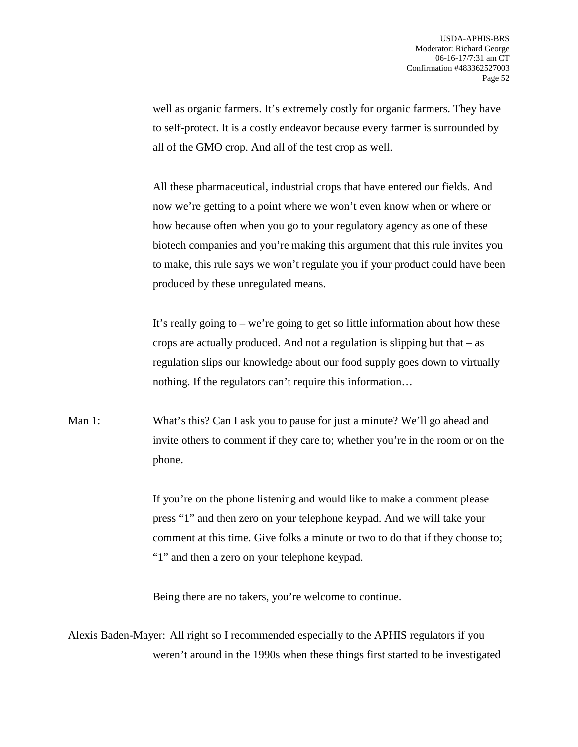well as organic farmers. It's extremely costly for organic farmers. They have to self-protect. It is a costly endeavor because every farmer is surrounded by all of the GMO crop. And all of the test crop as well.

All these pharmaceutical, industrial crops that have entered our fields. And now we're getting to a point where we won't even know when or where or how because often when you go to your regulatory agency as one of these biotech companies and you're making this argument that this rule invites you to make, this rule says we won't regulate you if your product could have been produced by these unregulated means.

It's really going to – we're going to get so little information about how these crops are actually produced. And not a regulation is slipping but that – as regulation slips our knowledge about our food supply goes down to virtually nothing. If the regulators can't require this information…

Man 1: What's this? Can I ask you to pause for just a minute? We'll go ahead and invite others to comment if they care to; whether you're in the room or on the phone.

> If you're on the phone listening and would like to make a comment please press "1" and then zero on your telephone keypad. And we will take your comment at this time. Give folks a minute or two to do that if they choose to; "1" and then a zero on your telephone keypad.

Being there are no takers, you're welcome to continue.

Alexis Baden-Mayer: All right so I recommended especially to the APHIS regulators if you weren't around in the 1990s when these things first started to be investigated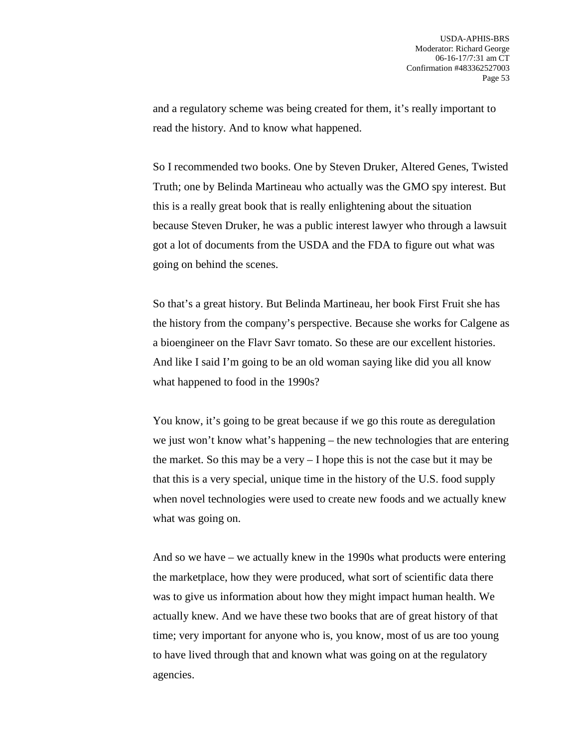and a regulatory scheme was being created for them, it's really important to read the history. And to know what happened.

So I recommended two books. One by Steven Druker, Altered Genes, Twisted Truth; one by Belinda Martineau who actually was the GMO spy interest. But this is a really great book that is really enlightening about the situation because Steven Druker, he was a public interest lawyer who through a lawsuit got a lot of documents from the USDA and the FDA to figure out what was going on behind the scenes.

So that's a great history. But Belinda Martineau, her book First Fruit she has the history from the company's perspective. Because she works for Calgene as a bioengineer on the Flavr Savr tomato. So these are our excellent histories. And like I said I'm going to be an old woman saying like did you all know what happened to food in the 1990s?

You know, it's going to be great because if we go this route as deregulation we just won't know what's happening – the new technologies that are entering the market. So this may be a very – I hope this is not the case but it may be that this is a very special, unique time in the history of the U.S. food supply when novel technologies were used to create new foods and we actually knew what was going on.

And so we have – we actually knew in the 1990s what products were entering the marketplace, how they were produced, what sort of scientific data there was to give us information about how they might impact human health. We actually knew. And we have these two books that are of great history of that time; very important for anyone who is, you know, most of us are too young to have lived through that and known what was going on at the regulatory agencies.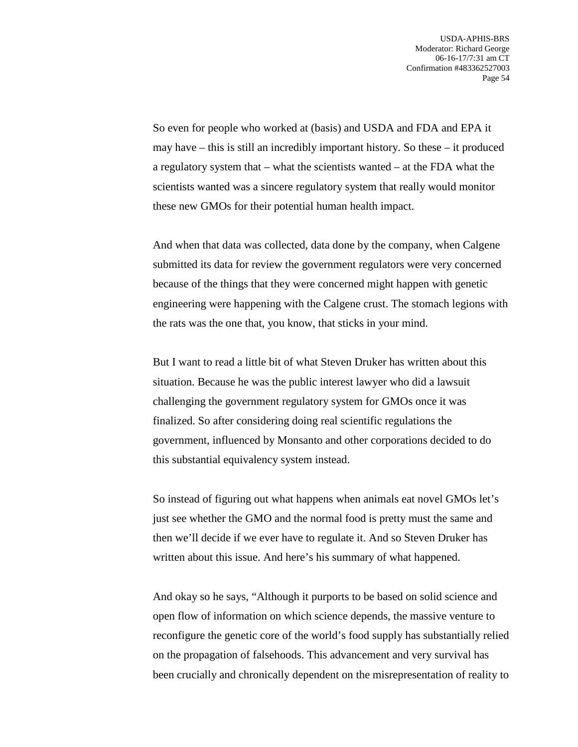So even for people who worked at (basis) and USDA and FDA and EPA it may have – this is still an incredibly important history. So these – it produced a regulatory system that – what the scientists wanted – at the FDA what the scientists wanted was a sincere regulatory system that really would monitor these new GMOs for their potential human health impact.

And when that data was collected, data done by the company, when Calgene submitted its data for review the government regulators were very concerned because of the things that they were concerned might happen with genetic engineering were happening with the Calgene crust. The stomach legions with the rats was the one that, you know, that sticks in your mind.

But I want to read a little bit of what Steven Druker has written about this situation. Because he was the public interest lawyer who did a lawsuit challenging the government regulatory system for GMOs once it was finalized. So after considering doing real scientific regulations the government, influenced by Monsanto and other corporations decided to do this substantial equivalency system instead.

So instead of figuring out what happens when animals eat novel GMOs let's just see whether the GMO and the normal food is pretty must the same and then we'll decide if we ever have to regulate it. And so Steven Druker has written about this issue. And here's his summary of what happened.

And okay so he says, "Although it purports to be based on solid science and open flow of information on which science depends, the massive venture to reconfigure the genetic core of the world's food supply has substantially relied on the propagation of falsehoods. This advancement and very survival has been crucially and chronically dependent on the misrepresentation of reality to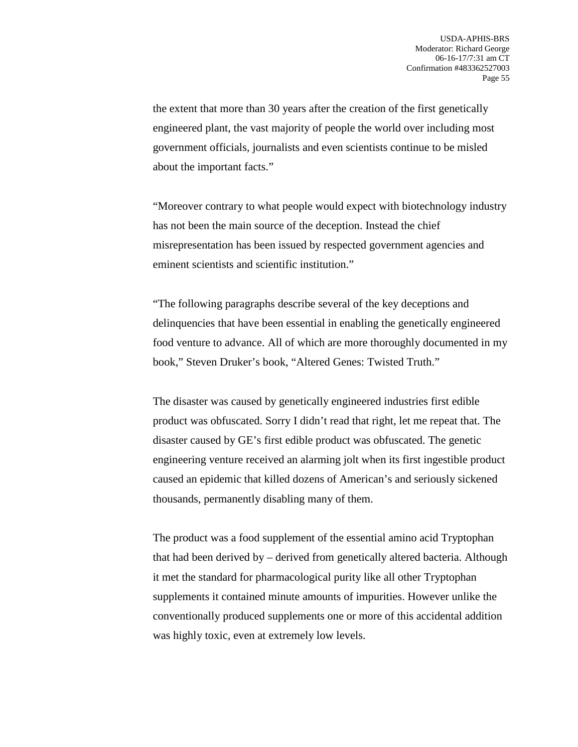the extent that more than 30 years after the creation of the first genetically engineered plant, the vast majority of people the world over including most government officials, journalists and even scientists continue to be misled about the important facts."

"Moreover contrary to what people would expect with biotechnology industry has not been the main source of the deception. Instead the chief misrepresentation has been issued by respected government agencies and eminent scientists and scientific institution."

"The following paragraphs describe several of the key deceptions and delinquencies that have been essential in enabling the genetically engineered food venture to advance. All of which are more thoroughly documented in my book," Steven Druker's book, "Altered Genes: Twisted Truth."

The disaster was caused by genetically engineered industries first edible product was obfuscated. Sorry I didn't read that right, let me repeat that. The disaster caused by GE's first edible product was obfuscated. The genetic engineering venture received an alarming jolt when its first ingestible product caused an epidemic that killed dozens of American's and seriously sickened thousands, permanently disabling many of them.

The product was a food supplement of the essential amino acid Tryptophan that had been derived by – derived from genetically altered bacteria. Although it met the standard for pharmacological purity like all other Tryptophan supplements it contained minute amounts of impurities. However unlike the conventionally produced supplements one or more of this accidental addition was highly toxic, even at extremely low levels.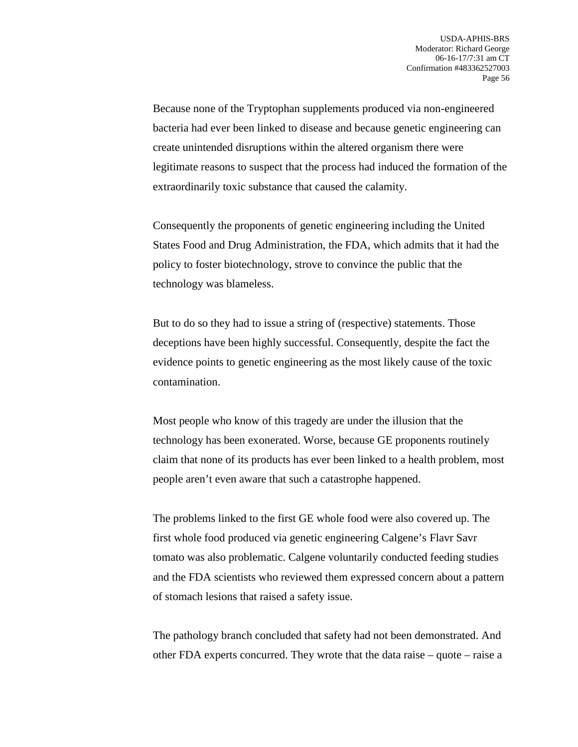Because none of the Tryptophan supplements produced via non-engineered bacteria had ever been linked to disease and because genetic engineering can create unintended disruptions within the altered organism there were legitimate reasons to suspect that the process had induced the formation of the extraordinarily toxic substance that caused the calamity.

Consequently the proponents of genetic engineering including the United States Food and Drug Administration, the FDA, which admits that it had the policy to foster biotechnology, strove to convince the public that the technology was blameless.

But to do so they had to issue a string of (respective) statements. Those deceptions have been highly successful. Consequently, despite the fact the evidence points to genetic engineering as the most likely cause of the toxic contamination.

Most people who know of this tragedy are under the illusion that the technology has been exonerated. Worse, because GE proponents routinely claim that none of its products has ever been linked to a health problem, most people aren't even aware that such a catastrophe happened.

The problems linked to the first GE whole food were also covered up. The first whole food produced via genetic engineering Calgene's Flavr Savr tomato was also problematic. Calgene voluntarily conducted feeding studies and the FDA scientists who reviewed them expressed concern about a pattern of stomach lesions that raised a safety issue.

The pathology branch concluded that safety had not been demonstrated. And other FDA experts concurred. They wrote that the data raise – quote – raise a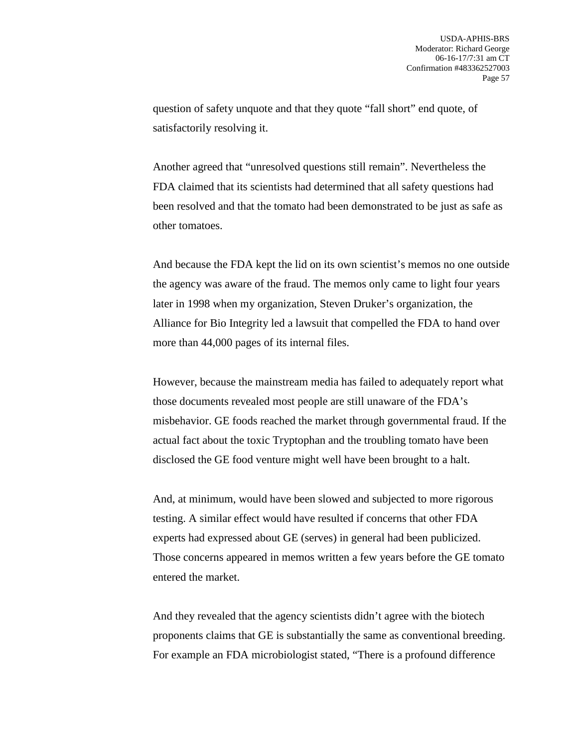question of safety unquote and that they quote "fall short" end quote, of satisfactorily resolving it.

Another agreed that "unresolved questions still remain". Nevertheless the FDA claimed that its scientists had determined that all safety questions had been resolved and that the tomato had been demonstrated to be just as safe as other tomatoes.

And because the FDA kept the lid on its own scientist's memos no one outside the agency was aware of the fraud. The memos only came to light four years later in 1998 when my organization, Steven Druker's organization, the Alliance for Bio Integrity led a lawsuit that compelled the FDA to hand over more than 44,000 pages of its internal files.

However, because the mainstream media has failed to adequately report what those documents revealed most people are still unaware of the FDA's misbehavior. GE foods reached the market through governmental fraud. If the actual fact about the toxic Tryptophan and the troubling tomato have been disclosed the GE food venture might well have been brought to a halt.

And, at minimum, would have been slowed and subjected to more rigorous testing. A similar effect would have resulted if concerns that other FDA experts had expressed about GE (serves) in general had been publicized. Those concerns appeared in memos written a few years before the GE tomato entered the market.

And they revealed that the agency scientists didn't agree with the biotech proponents claims that GE is substantially the same as conventional breeding. For example an FDA microbiologist stated, "There is a profound difference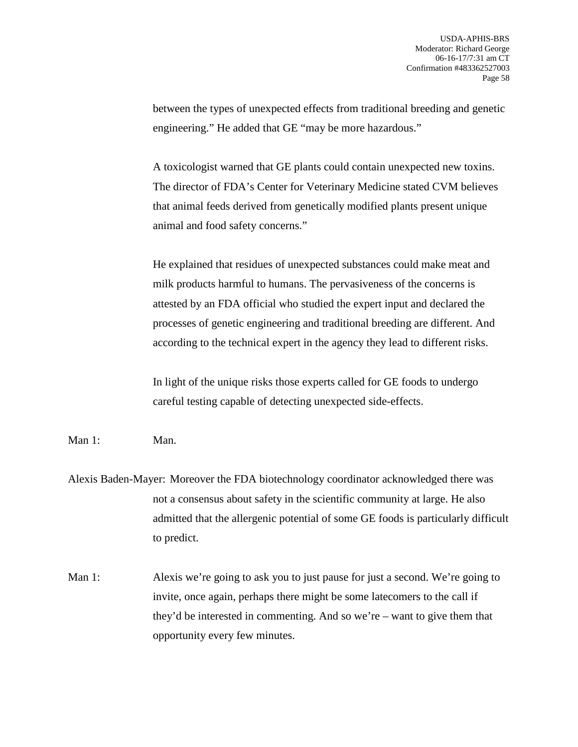between the types of unexpected effects from traditional breeding and genetic engineering." He added that GE "may be more hazardous."

A toxicologist warned that GE plants could contain unexpected new toxins. The director of FDA's Center for Veterinary Medicine stated CVM believes that animal feeds derived from genetically modified plants present unique animal and food safety concerns."

He explained that residues of unexpected substances could make meat and milk products harmful to humans. The pervasiveness of the concerns is attested by an FDA official who studied the expert input and declared the processes of genetic engineering and traditional breeding are different. And according to the technical expert in the agency they lead to different risks.

In light of the unique risks those experts called for GE foods to undergo careful testing capable of detecting unexpected side-effects.

Man 1: Man.

Alexis Baden-Mayer: Moreover the FDA biotechnology coordinator acknowledged there was not a consensus about safety in the scientific community at large. He also admitted that the allergenic potential of some GE foods is particularly difficult to predict.

Man 1: Alexis we're going to ask you to just pause for just a second. We're going to invite, once again, perhaps there might be some latecomers to the call if they'd be interested in commenting. And so we're – want to give them that opportunity every few minutes.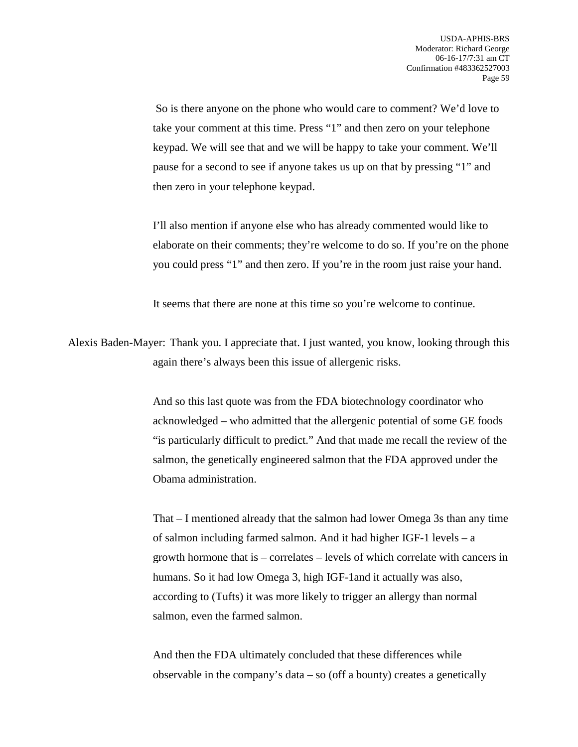So is there anyone on the phone who would care to comment? We'd love to take your comment at this time. Press "1" and then zero on your telephone keypad. We will see that and we will be happy to take your comment. We'll pause for a second to see if anyone takes us up on that by pressing "1" and then zero in your telephone keypad.

I'll also mention if anyone else who has already commented would like to elaborate on their comments; they're welcome to do so. If you're on the phone you could press "1" and then zero. If you're in the room just raise your hand.

It seems that there are none at this time so you're welcome to continue.

Alexis Baden-Mayer: Thank you. I appreciate that. I just wanted, you know, looking through this again there's always been this issue of allergenic risks.

> And so this last quote was from the FDA biotechnology coordinator who acknowledged – who admitted that the allergenic potential of some GE foods "is particularly difficult to predict." And that made me recall the review of the salmon, the genetically engineered salmon that the FDA approved under the Obama administration.

> That – I mentioned already that the salmon had lower Omega 3s than any time of salmon including farmed salmon. And it had higher IGF-1 levels – a growth hormone that is – correlates – levels of which correlate with cancers in humans. So it had low Omega 3, high IGF-1and it actually was also, according to (Tufts) it was more likely to trigger an allergy than normal salmon, even the farmed salmon.

And then the FDA ultimately concluded that these differences while observable in the company's data  $-$  so (off a bounty) creates a genetically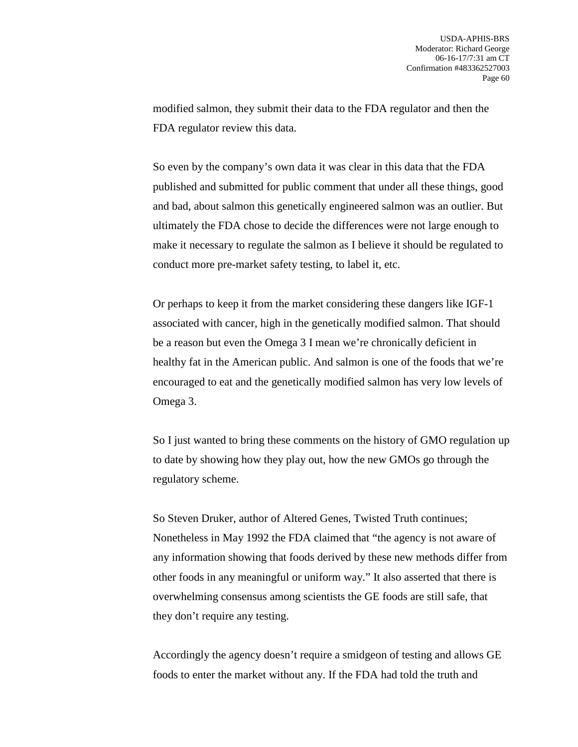modified salmon, they submit their data to the FDA regulator and then the FDA regulator review this data.

So even by the company's own data it was clear in this data that the FDA published and submitted for public comment that under all these things, good and bad, about salmon this genetically engineered salmon was an outlier. But ultimately the FDA chose to decide the differences were not large enough to make it necessary to regulate the salmon as I believe it should be regulated to conduct more pre-market safety testing, to label it, etc.

Or perhaps to keep it from the market considering these dangers like IGF-1 associated with cancer, high in the genetically modified salmon. That should be a reason but even the Omega 3 I mean we're chronically deficient in healthy fat in the American public. And salmon is one of the foods that we're encouraged to eat and the genetically modified salmon has very low levels of Omega 3.

So I just wanted to bring these comments on the history of GMO regulation up to date by showing how they play out, how the new GMOs go through the regulatory scheme.

So Steven Druker, author of Altered Genes, Twisted Truth continues; Nonetheless in May 1992 the FDA claimed that "the agency is not aware of any information showing that foods derived by these new methods differ from other foods in any meaningful or uniform way." It also asserted that there is overwhelming consensus among scientists the GE foods are still safe, that they don't require any testing.

Accordingly the agency doesn't require a smidgeon of testing and allows GE foods to enter the market without any. If the FDA had told the truth and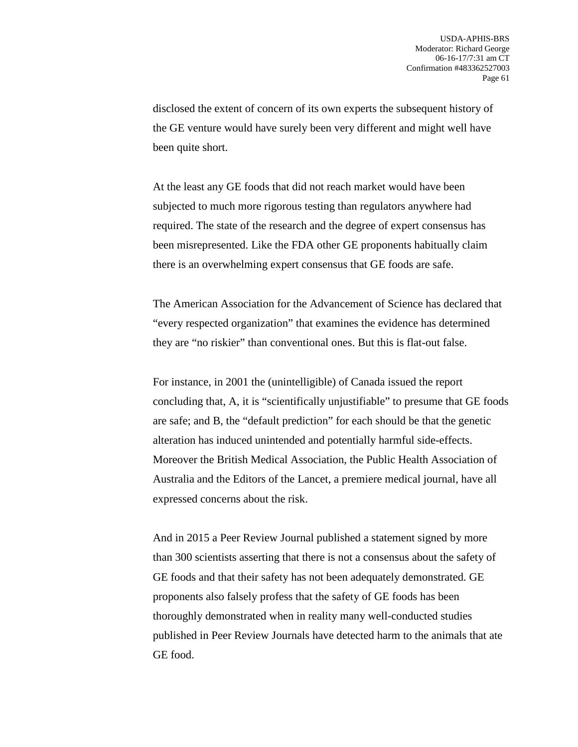disclosed the extent of concern of its own experts the subsequent history of the GE venture would have surely been very different and might well have been quite short.

At the least any GE foods that did not reach market would have been subjected to much more rigorous testing than regulators anywhere had required. The state of the research and the degree of expert consensus has been misrepresented. Like the FDA other GE proponents habitually claim there is an overwhelming expert consensus that GE foods are safe.

The American Association for the Advancement of Science has declared that "every respected organization" that examines the evidence has determined they are "no riskier" than conventional ones. But this is flat-out false.

For instance, in 2001 the (unintelligible) of Canada issued the report concluding that, A, it is "scientifically unjustifiable" to presume that GE foods are safe; and B, the "default prediction" for each should be that the genetic alteration has induced unintended and potentially harmful side-effects. Moreover the British Medical Association, the Public Health Association of Australia and the Editors of the Lancet, a premiere medical journal, have all expressed concerns about the risk.

And in 2015 a Peer Review Journal published a statement signed by more than 300 scientists asserting that there is not a consensus about the safety of GE foods and that their safety has not been adequately demonstrated. GE proponents also falsely profess that the safety of GE foods has been thoroughly demonstrated when in reality many well-conducted studies published in Peer Review Journals have detected harm to the animals that ate GE food.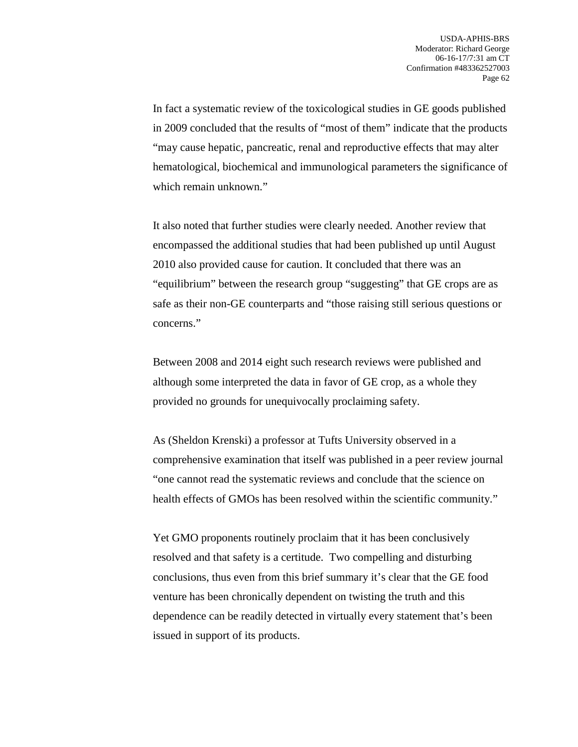In fact a systematic review of the toxicological studies in GE goods published in 2009 concluded that the results of "most of them" indicate that the products "may cause hepatic, pancreatic, renal and reproductive effects that may alter hematological, biochemical and immunological parameters the significance of which remain unknown."

It also noted that further studies were clearly needed. Another review that encompassed the additional studies that had been published up until August 2010 also provided cause for caution. It concluded that there was an "equilibrium" between the research group "suggesting" that GE crops are as safe as their non-GE counterparts and "those raising still serious questions or concerns."

Between 2008 and 2014 eight such research reviews were published and although some interpreted the data in favor of GE crop, as a whole they provided no grounds for unequivocally proclaiming safety.

As (Sheldon Krenski) a professor at Tufts University observed in a comprehensive examination that itself was published in a peer review journal "one cannot read the systematic reviews and conclude that the science on health effects of GMOs has been resolved within the scientific community."

Yet GMO proponents routinely proclaim that it has been conclusively resolved and that safety is a certitude. Two compelling and disturbing conclusions, thus even from this brief summary it's clear that the GE food venture has been chronically dependent on twisting the truth and this dependence can be readily detected in virtually every statement that's been issued in support of its products.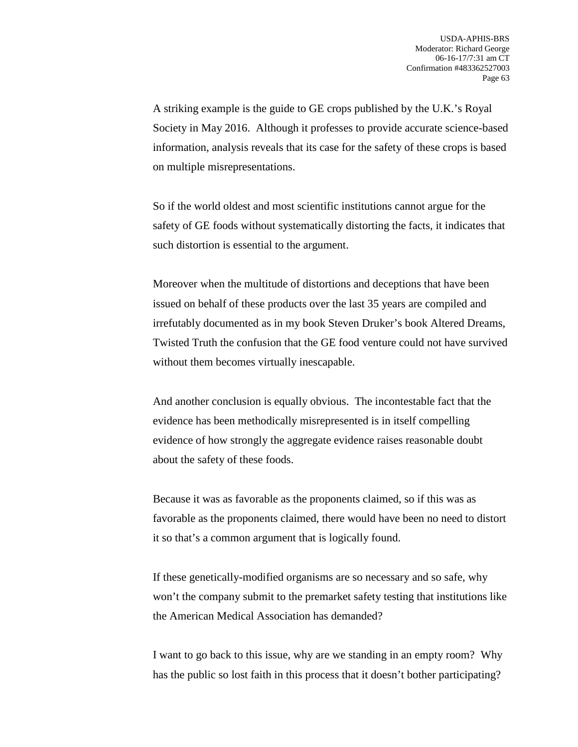A striking example is the guide to GE crops published by the U.K.'s Royal Society in May 2016. Although it professes to provide accurate science-based information, analysis reveals that its case for the safety of these crops is based on multiple misrepresentations.

So if the world oldest and most scientific institutions cannot argue for the safety of GE foods without systematically distorting the facts, it indicates that such distortion is essential to the argument.

Moreover when the multitude of distortions and deceptions that have been issued on behalf of these products over the last 35 years are compiled and irrefutably documented as in my book Steven Druker's book Altered Dreams, Twisted Truth the confusion that the GE food venture could not have survived without them becomes virtually inescapable.

And another conclusion is equally obvious. The incontestable fact that the evidence has been methodically misrepresented is in itself compelling evidence of how strongly the aggregate evidence raises reasonable doubt about the safety of these foods.

Because it was as favorable as the proponents claimed, so if this was as favorable as the proponents claimed, there would have been no need to distort it so that's a common argument that is logically found.

If these genetically-modified organisms are so necessary and so safe, why won't the company submit to the premarket safety testing that institutions like the American Medical Association has demanded?

I want to go back to this issue, why are we standing in an empty room? Why has the public so lost faith in this process that it doesn't bother participating?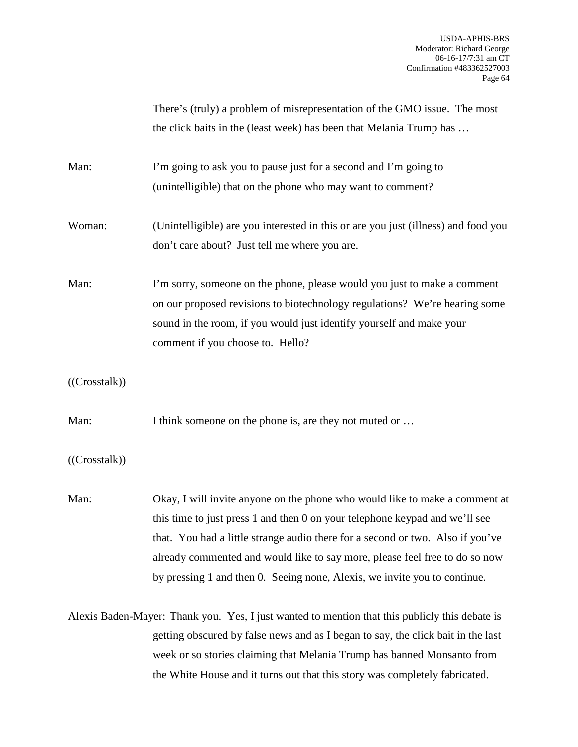|                                                                                                | There's (truly) a problem of misrepresentation of the GMO issue. The most          |
|------------------------------------------------------------------------------------------------|------------------------------------------------------------------------------------|
|                                                                                                | the click baits in the (least week) has been that Melania Trump has                |
|                                                                                                |                                                                                    |
| Man:                                                                                           | I'm going to ask you to pause just for a second and I'm going to                   |
|                                                                                                | (unintelligible) that on the phone who may want to comment?                        |
|                                                                                                |                                                                                    |
| Woman:                                                                                         | (Unintelligible) are you interested in this or are you just (illness) and food you |
|                                                                                                | don't care about? Just tell me where you are.                                      |
|                                                                                                |                                                                                    |
| Man:                                                                                           | I'm sorry, someone on the phone, please would you just to make a comment           |
|                                                                                                | on our proposed revisions to biotechnology regulations? We're hearing some         |
|                                                                                                | sound in the room, if you would just identify yourself and make your               |
|                                                                                                | comment if you choose to. Hello?                                                   |
|                                                                                                |                                                                                    |
| ((Crosstalk))                                                                                  |                                                                                    |
|                                                                                                |                                                                                    |
| Man:                                                                                           | I think someone on the phone is, are they not muted or                             |
|                                                                                                |                                                                                    |
| ((Crosstalk))                                                                                  |                                                                                    |
|                                                                                                |                                                                                    |
| Man:                                                                                           | Okay, I will invite anyone on the phone who would like to make a comment at        |
|                                                                                                | this time to just press 1 and then 0 on your telephone keypad and we'll see        |
|                                                                                                | that. You had a little strange audio there for a second or two. Also if you've     |
|                                                                                                | already commented and would like to say more, please feel free to do so now        |
|                                                                                                | by pressing 1 and then 0. Seeing none, Alexis, we invite you to continue.          |
|                                                                                                |                                                                                    |
| Alexis Baden-Mayer: Thank you. Yes, I just wanted to mention that this publicly this debate is |                                                                                    |
|                                                                                                | getting obscured by false news and as I began to say, the click bait in the last   |
|                                                                                                | week or so stories claiming that Melania Trump has banned Monsanto from            |
|                                                                                                | the White House and it turns out that this story was completely fabricated.        |
|                                                                                                |                                                                                    |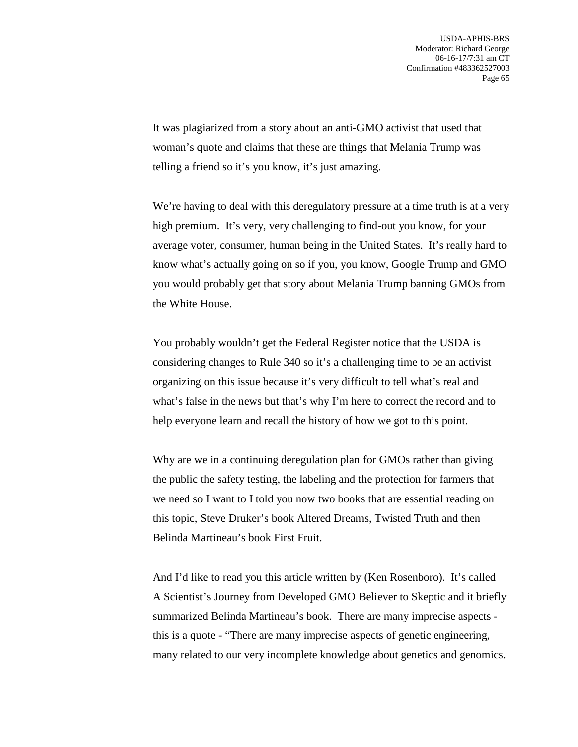It was plagiarized from a story about an anti-GMO activist that used that woman's quote and claims that these are things that Melania Trump was telling a friend so it's you know, it's just amazing.

We're having to deal with this deregulatory pressure at a time truth is at a very high premium. It's very, very challenging to find-out you know, for your average voter, consumer, human being in the United States. It's really hard to know what's actually going on so if you, you know, Google Trump and GMO you would probably get that story about Melania Trump banning GMOs from the White House.

You probably wouldn't get the Federal Register notice that the USDA is considering changes to Rule 340 so it's a challenging time to be an activist organizing on this issue because it's very difficult to tell what's real and what's false in the news but that's why I'm here to correct the record and to help everyone learn and recall the history of how we got to this point.

Why are we in a continuing deregulation plan for GMOs rather than giving the public the safety testing, the labeling and the protection for farmers that we need so I want to I told you now two books that are essential reading on this topic, Steve Druker's book Altered Dreams, Twisted Truth and then Belinda Martineau's book First Fruit.

And I'd like to read you this article written by (Ken Rosenboro). It's called A Scientist's Journey from Developed GMO Believer to Skeptic and it briefly summarized Belinda Martineau's book. There are many imprecise aspects this is a quote - "There are many imprecise aspects of genetic engineering, many related to our very incomplete knowledge about genetics and genomics.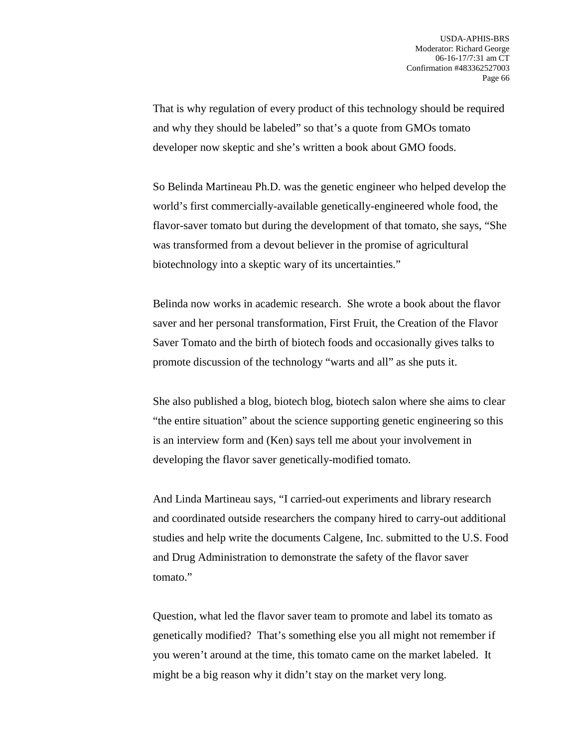That is why regulation of every product of this technology should be required and why they should be labeled" so that's a quote from GMOs tomato developer now skeptic and she's written a book about GMO foods.

So Belinda Martineau Ph.D. was the genetic engineer who helped develop the world's first commercially-available genetically-engineered whole food, the flavor-saver tomato but during the development of that tomato, she says, "She was transformed from a devout believer in the promise of agricultural biotechnology into a skeptic wary of its uncertainties."

Belinda now works in academic research. She wrote a book about the flavor saver and her personal transformation, First Fruit, the Creation of the Flavor Saver Tomato and the birth of biotech foods and occasionally gives talks to promote discussion of the technology "warts and all" as she puts it.

She also published a blog, biotech blog, biotech salon where she aims to clear "the entire situation" about the science supporting genetic engineering so this is an interview form and (Ken) says tell me about your involvement in developing the flavor saver genetically-modified tomato.

And Linda Martineau says, "I carried-out experiments and library research and coordinated outside researchers the company hired to carry-out additional studies and help write the documents Calgene, Inc. submitted to the U.S. Food and Drug Administration to demonstrate the safety of the flavor saver tomato."

Question, what led the flavor saver team to promote and label its tomato as genetically modified? That's something else you all might not remember if you weren't around at the time, this tomato came on the market labeled. It might be a big reason why it didn't stay on the market very long.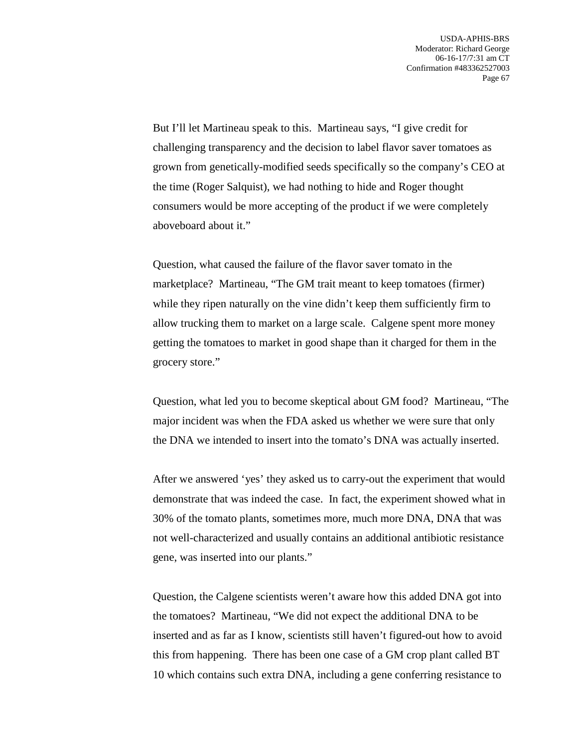But I'll let Martineau speak to this. Martineau says, "I give credit for challenging transparency and the decision to label flavor saver tomatoes as grown from genetically-modified seeds specifically so the company's CEO at the time (Roger Salquist), we had nothing to hide and Roger thought consumers would be more accepting of the product if we were completely aboveboard about it."

Question, what caused the failure of the flavor saver tomato in the marketplace? Martineau, "The GM trait meant to keep tomatoes (firmer) while they ripen naturally on the vine didn't keep them sufficiently firm to allow trucking them to market on a large scale. Calgene spent more money getting the tomatoes to market in good shape than it charged for them in the grocery store."

Question, what led you to become skeptical about GM food? Martineau, "The major incident was when the FDA asked us whether we were sure that only the DNA we intended to insert into the tomato's DNA was actually inserted.

After we answered 'yes' they asked us to carry-out the experiment that would demonstrate that was indeed the case. In fact, the experiment showed what in 30% of the tomato plants, sometimes more, much more DNA, DNA that was not well-characterized and usually contains an additional antibiotic resistance gene, was inserted into our plants."

Question, the Calgene scientists weren't aware how this added DNA got into the tomatoes? Martineau, "We did not expect the additional DNA to be inserted and as far as I know, scientists still haven't figured-out how to avoid this from happening. There has been one case of a GM crop plant called BT 10 which contains such extra DNA, including a gene conferring resistance to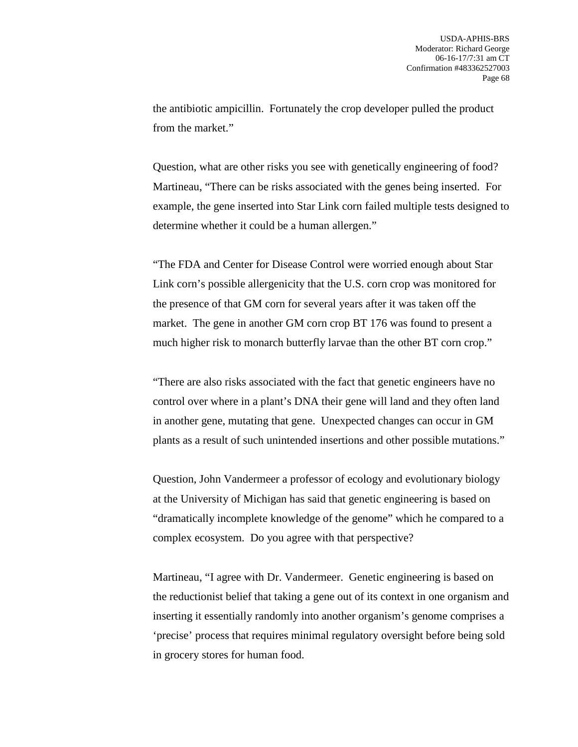the antibiotic ampicillin. Fortunately the crop developer pulled the product from the market."

Question, what are other risks you see with genetically engineering of food? Martineau, "There can be risks associated with the genes being inserted. For example, the gene inserted into Star Link corn failed multiple tests designed to determine whether it could be a human allergen."

"The FDA and Center for Disease Control were worried enough about Star Link corn's possible allergenicity that the U.S. corn crop was monitored for the presence of that GM corn for several years after it was taken off the market. The gene in another GM corn crop BT 176 was found to present a much higher risk to monarch butterfly larvae than the other BT corn crop."

"There are also risks associated with the fact that genetic engineers have no control over where in a plant's DNA their gene will land and they often land in another gene, mutating that gene. Unexpected changes can occur in GM plants as a result of such unintended insertions and other possible mutations."

Question, John Vandermeer a professor of ecology and evolutionary biology at the University of Michigan has said that genetic engineering is based on "dramatically incomplete knowledge of the genome" which he compared to a complex ecosystem. Do you agree with that perspective?

Martineau, "I agree with Dr. Vandermeer. Genetic engineering is based on the reductionist belief that taking a gene out of its context in one organism and inserting it essentially randomly into another organism's genome comprises a 'precise' process that requires minimal regulatory oversight before being sold in grocery stores for human food.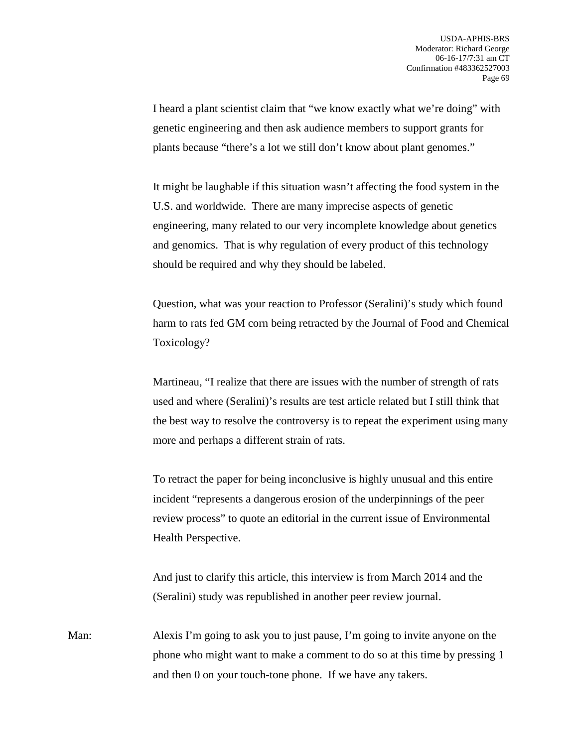I heard a plant scientist claim that "we know exactly what we're doing" with genetic engineering and then ask audience members to support grants for plants because "there's a lot we still don't know about plant genomes."

It might be laughable if this situation wasn't affecting the food system in the U.S. and worldwide. There are many imprecise aspects of genetic engineering, many related to our very incomplete knowledge about genetics and genomics. That is why regulation of every product of this technology should be required and why they should be labeled.

Question, what was your reaction to Professor (Seralini)'s study which found harm to rats fed GM corn being retracted by the Journal of Food and Chemical Toxicology?

Martineau, "I realize that there are issues with the number of strength of rats used and where (Seralini)'s results are test article related but I still think that the best way to resolve the controversy is to repeat the experiment using many more and perhaps a different strain of rats.

To retract the paper for being inconclusive is highly unusual and this entire incident "represents a dangerous erosion of the underpinnings of the peer review process" to quote an editorial in the current issue of Environmental Health Perspective.

And just to clarify this article, this interview is from March 2014 and the (Seralini) study was republished in another peer review journal.

Man: Alexis I'm going to ask you to just pause, I'm going to invite anyone on the phone who might want to make a comment to do so at this time by pressing 1 and then 0 on your touch-tone phone. If we have any takers.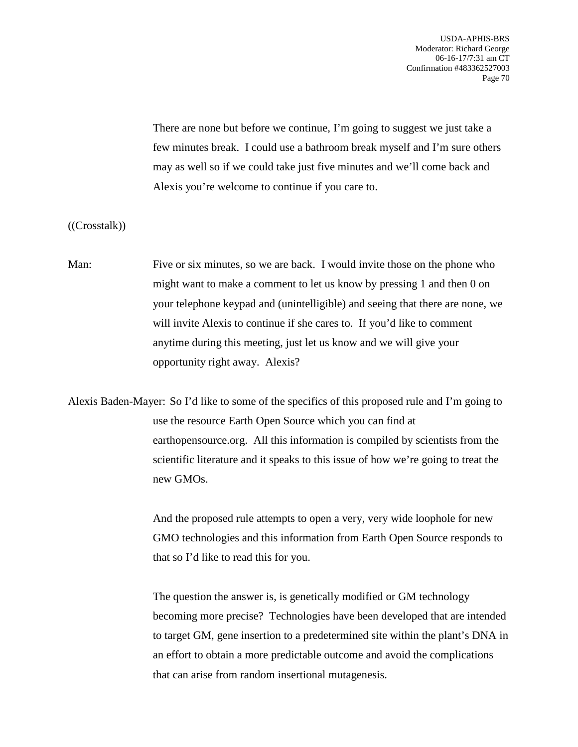USDA-APHIS-BRS Moderator: Richard George 06-16-17/7:31 am CT Confirmation #483362527003 Page 70

There are none but before we continue, I'm going to suggest we just take a few minutes break. I could use a bathroom break myself and I'm sure others may as well so if we could take just five minutes and we'll come back and Alexis you're welcome to continue if you care to.

((Crosstalk))

Man: Five or six minutes, so we are back. I would invite those on the phone who might want to make a comment to let us know by pressing 1 and then 0 on your telephone keypad and (unintelligible) and seeing that there are none, we will invite Alexis to continue if she cares to. If you'd like to comment anytime during this meeting, just let us know and we will give your opportunity right away. Alexis?

Alexis Baden-Mayer: So I'd like to some of the specifics of this proposed rule and I'm going to use the resource Earth Open Source which you can find at earthopensource.org. All this information is compiled by scientists from the scientific literature and it speaks to this issue of how we're going to treat the new GMOs.

> And the proposed rule attempts to open a very, very wide loophole for new GMO technologies and this information from Earth Open Source responds to that so I'd like to read this for you.

The question the answer is, is genetically modified or GM technology becoming more precise? Technologies have been developed that are intended to target GM, gene insertion to a predetermined site within the plant's DNA in an effort to obtain a more predictable outcome and avoid the complications that can arise from random insertional mutagenesis.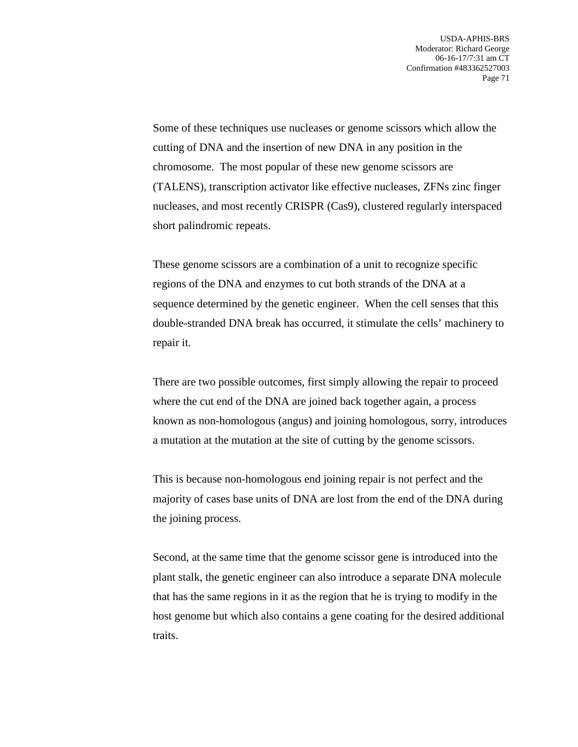Some of these techniques use nucleases or genome scissors which allow the cutting of DNA and the insertion of new DNA in any position in the chromosome. The most popular of these new genome scissors are (TALENS), transcription activator like effective nucleases, ZFNs zinc finger nucleases, and most recently CRISPR (Cas9), clustered regularly interspaced short palindromic repeats.

These genome scissors are a combination of a unit to recognize specific regions of the DNA and enzymes to cut both strands of the DNA at a sequence determined by the genetic engineer. When the cell senses that this double-stranded DNA break has occurred, it stimulate the cells' machinery to repair it.

There are two possible outcomes, first simply allowing the repair to proceed where the cut end of the DNA are joined back together again, a process known as non-homologous (angus) and joining homologous, sorry, introduces a mutation at the mutation at the site of cutting by the genome scissors.

This is because non-homologous end joining repair is not perfect and the majority of cases base units of DNA are lost from the end of the DNA during the joining process.

Second, at the same time that the genome scissor gene is introduced into the plant stalk, the genetic engineer can also introduce a separate DNA molecule that has the same regions in it as the region that he is trying to modify in the host genome but which also contains a gene coating for the desired additional traits.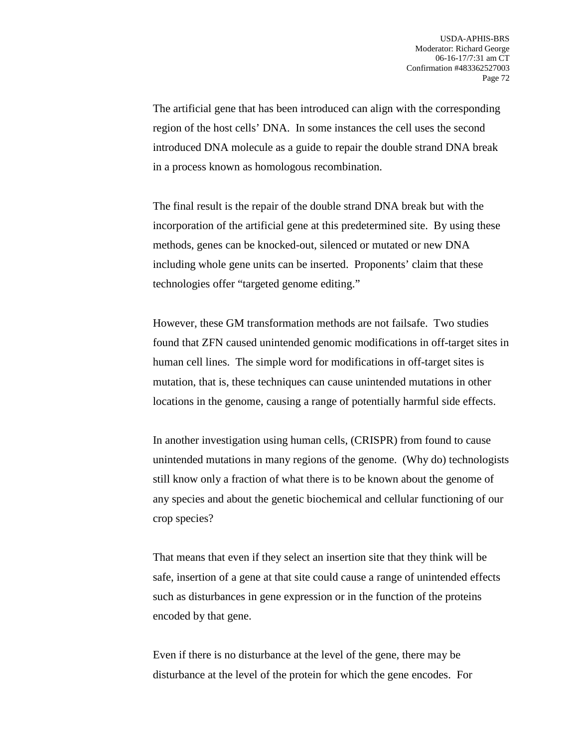The artificial gene that has been introduced can align with the corresponding region of the host cells' DNA. In some instances the cell uses the second introduced DNA molecule as a guide to repair the double strand DNA break in a process known as homologous recombination.

The final result is the repair of the double strand DNA break but with the incorporation of the artificial gene at this predetermined site. By using these methods, genes can be knocked-out, silenced or mutated or new DNA including whole gene units can be inserted. Proponents' claim that these technologies offer "targeted genome editing."

However, these GM transformation methods are not failsafe. Two studies found that ZFN caused unintended genomic modifications in off-target sites in human cell lines. The simple word for modifications in off-target sites is mutation, that is, these techniques can cause unintended mutations in other locations in the genome, causing a range of potentially harmful side effects.

In another investigation using human cells, (CRISPR) from found to cause unintended mutations in many regions of the genome. (Why do) technologists still know only a fraction of what there is to be known about the genome of any species and about the genetic biochemical and cellular functioning of our crop species?

That means that even if they select an insertion site that they think will be safe, insertion of a gene at that site could cause a range of unintended effects such as disturbances in gene expression or in the function of the proteins encoded by that gene.

Even if there is no disturbance at the level of the gene, there may be disturbance at the level of the protein for which the gene encodes. For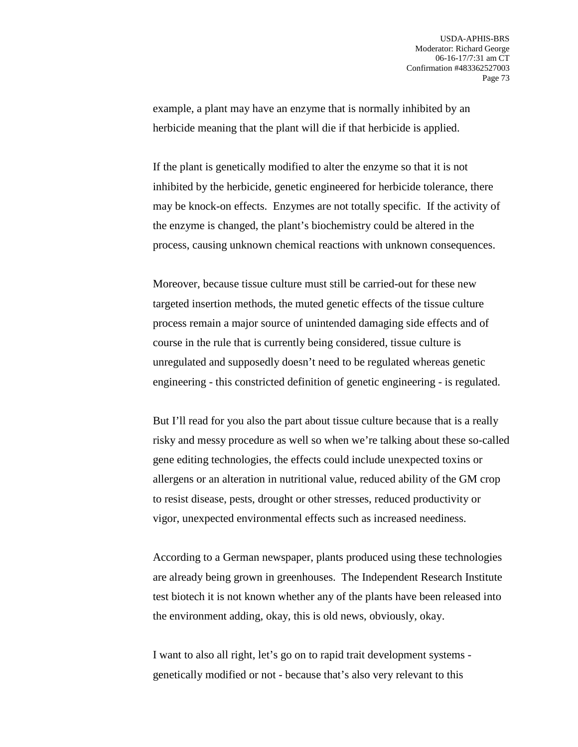example, a plant may have an enzyme that is normally inhibited by an herbicide meaning that the plant will die if that herbicide is applied.

If the plant is genetically modified to alter the enzyme so that it is not inhibited by the herbicide, genetic engineered for herbicide tolerance, there may be knock-on effects. Enzymes are not totally specific. If the activity of the enzyme is changed, the plant's biochemistry could be altered in the process, causing unknown chemical reactions with unknown consequences.

Moreover, because tissue culture must still be carried-out for these new targeted insertion methods, the muted genetic effects of the tissue culture process remain a major source of unintended damaging side effects and of course in the rule that is currently being considered, tissue culture is unregulated and supposedly doesn't need to be regulated whereas genetic engineering - this constricted definition of genetic engineering - is regulated.

But I'll read for you also the part about tissue culture because that is a really risky and messy procedure as well so when we're talking about these so-called gene editing technologies, the effects could include unexpected toxins or allergens or an alteration in nutritional value, reduced ability of the GM crop to resist disease, pests, drought or other stresses, reduced productivity or vigor, unexpected environmental effects such as increased neediness.

According to a German newspaper, plants produced using these technologies are already being grown in greenhouses. The Independent Research Institute test biotech it is not known whether any of the plants have been released into the environment adding, okay, this is old news, obviously, okay.

I want to also all right, let's go on to rapid trait development systems genetically modified or not - because that's also very relevant to this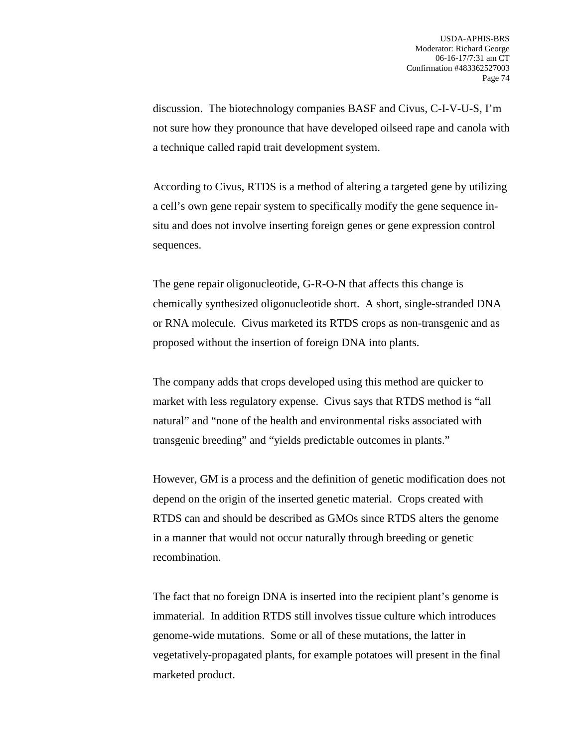discussion. The biotechnology companies BASF and Civus, C-I-V-U-S, I'm not sure how they pronounce that have developed oilseed rape and canola with a technique called rapid trait development system.

According to Civus, RTDS is a method of altering a targeted gene by utilizing a cell's own gene repair system to specifically modify the gene sequence insitu and does not involve inserting foreign genes or gene expression control sequences.

The gene repair oligonucleotide, G-R-O-N that affects this change is chemically synthesized oligonucleotide short. A short, single-stranded DNA or RNA molecule. Civus marketed its RTDS crops as non-transgenic and as proposed without the insertion of foreign DNA into plants.

The company adds that crops developed using this method are quicker to market with less regulatory expense. Civus says that RTDS method is "all natural" and "none of the health and environmental risks associated with transgenic breeding" and "yields predictable outcomes in plants."

However, GM is a process and the definition of genetic modification does not depend on the origin of the inserted genetic material. Crops created with RTDS can and should be described as GMOs since RTDS alters the genome in a manner that would not occur naturally through breeding or genetic recombination.

The fact that no foreign DNA is inserted into the recipient plant's genome is immaterial. In addition RTDS still involves tissue culture which introduces genome-wide mutations. Some or all of these mutations, the latter in vegetatively-propagated plants, for example potatoes will present in the final marketed product.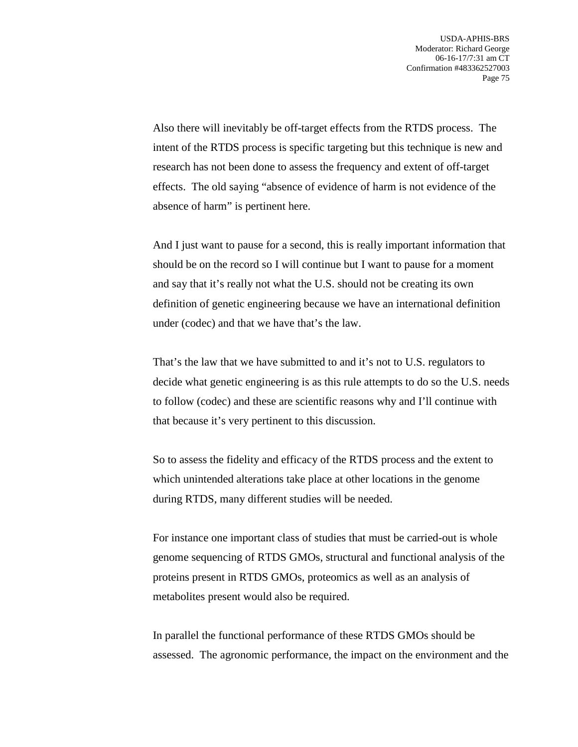Also there will inevitably be off-target effects from the RTDS process. The intent of the RTDS process is specific targeting but this technique is new and research has not been done to assess the frequency and extent of off-target effects. The old saying "absence of evidence of harm is not evidence of the absence of harm" is pertinent here.

And I just want to pause for a second, this is really important information that should be on the record so I will continue but I want to pause for a moment and say that it's really not what the U.S. should not be creating its own definition of genetic engineering because we have an international definition under (codec) and that we have that's the law.

That's the law that we have submitted to and it's not to U.S. regulators to decide what genetic engineering is as this rule attempts to do so the U.S. needs to follow (codec) and these are scientific reasons why and I'll continue with that because it's very pertinent to this discussion.

So to assess the fidelity and efficacy of the RTDS process and the extent to which unintended alterations take place at other locations in the genome during RTDS, many different studies will be needed.

For instance one important class of studies that must be carried-out is whole genome sequencing of RTDS GMOs, structural and functional analysis of the proteins present in RTDS GMOs, proteomics as well as an analysis of metabolites present would also be required.

In parallel the functional performance of these RTDS GMOs should be assessed. The agronomic performance, the impact on the environment and the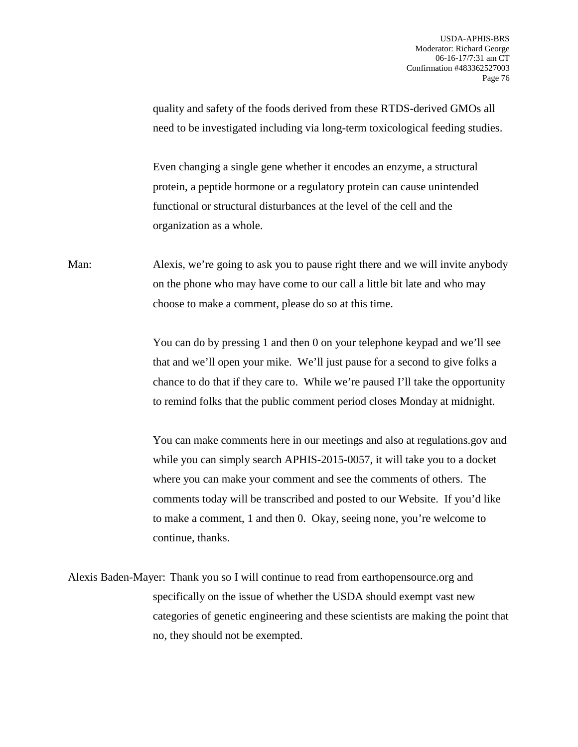quality and safety of the foods derived from these RTDS-derived GMOs all need to be investigated including via long-term toxicological feeding studies. Even changing a single gene whether it encodes an enzyme, a structural protein, a peptide hormone or a regulatory protein can cause unintended functional or structural disturbances at the level of the cell and the organization as a whole. Man: Alexis, we're going to ask you to pause right there and we will invite anybody on the phone who may have come to our call a little bit late and who may choose to make a comment, please do so at this time. You can do by pressing 1 and then 0 on your telephone keypad and we'll see that and we'll open your mike. We'll just pause for a second to give folks a chance to do that if they care to. While we're paused I'll take the opportunity to remind folks that the public comment period closes Monday at midnight. You can make comments here in our meetings and also at regulations.gov and while you can simply search APHIS-2015-0057, it will take you to a docket

where you can make your comment and see the comments of others. The comments today will be transcribed and posted to our Website. If you'd like to make a comment, 1 and then 0. Okay, seeing none, you're welcome to continue, thanks.

Alexis Baden-Mayer: Thank you so I will continue to read from earthopensource.org and specifically on the issue of whether the USDA should exempt vast new categories of genetic engineering and these scientists are making the point that no, they should not be exempted.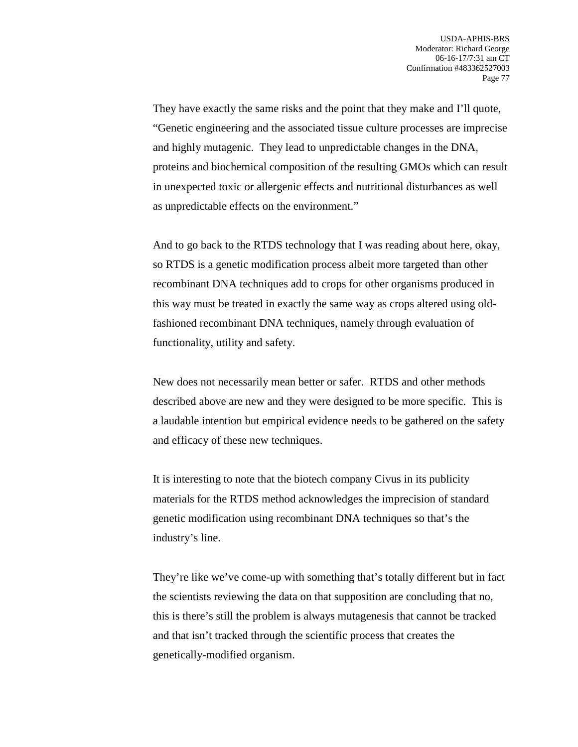They have exactly the same risks and the point that they make and I'll quote, "Genetic engineering and the associated tissue culture processes are imprecise and highly mutagenic. They lead to unpredictable changes in the DNA, proteins and biochemical composition of the resulting GMOs which can result in unexpected toxic or allergenic effects and nutritional disturbances as well as unpredictable effects on the environment."

And to go back to the RTDS technology that I was reading about here, okay, so RTDS is a genetic modification process albeit more targeted than other recombinant DNA techniques add to crops for other organisms produced in this way must be treated in exactly the same way as crops altered using oldfashioned recombinant DNA techniques, namely through evaluation of functionality, utility and safety.

New does not necessarily mean better or safer. RTDS and other methods described above are new and they were designed to be more specific. This is a laudable intention but empirical evidence needs to be gathered on the safety and efficacy of these new techniques.

It is interesting to note that the biotech company Civus in its publicity materials for the RTDS method acknowledges the imprecision of standard genetic modification using recombinant DNA techniques so that's the industry's line.

They're like we've come-up with something that's totally different but in fact the scientists reviewing the data on that supposition are concluding that no, this is there's still the problem is always mutagenesis that cannot be tracked and that isn't tracked through the scientific process that creates the genetically-modified organism.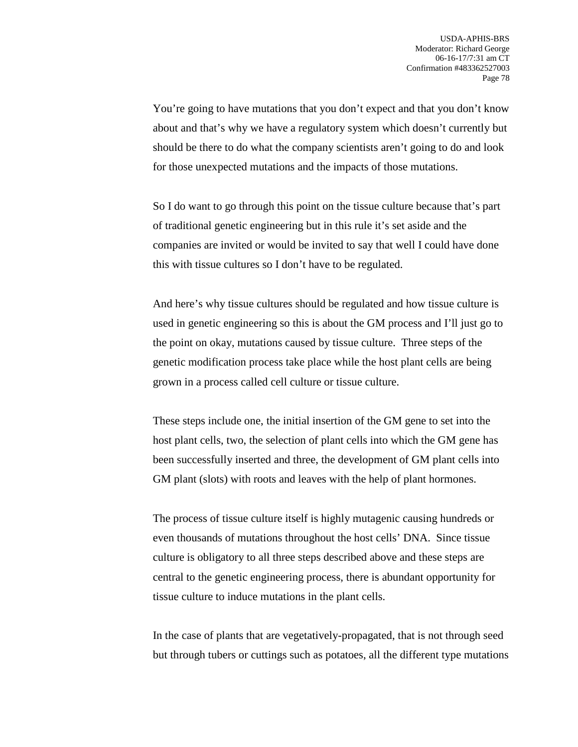You're going to have mutations that you don't expect and that you don't know about and that's why we have a regulatory system which doesn't currently but should be there to do what the company scientists aren't going to do and look for those unexpected mutations and the impacts of those mutations.

So I do want to go through this point on the tissue culture because that's part of traditional genetic engineering but in this rule it's set aside and the companies are invited or would be invited to say that well I could have done this with tissue cultures so I don't have to be regulated.

And here's why tissue cultures should be regulated and how tissue culture is used in genetic engineering so this is about the GM process and I'll just go to the point on okay, mutations caused by tissue culture. Three steps of the genetic modification process take place while the host plant cells are being grown in a process called cell culture or tissue culture.

These steps include one, the initial insertion of the GM gene to set into the host plant cells, two, the selection of plant cells into which the GM gene has been successfully inserted and three, the development of GM plant cells into GM plant (slots) with roots and leaves with the help of plant hormones.

The process of tissue culture itself is highly mutagenic causing hundreds or even thousands of mutations throughout the host cells' DNA. Since tissue culture is obligatory to all three steps described above and these steps are central to the genetic engineering process, there is abundant opportunity for tissue culture to induce mutations in the plant cells.

In the case of plants that are vegetatively-propagated, that is not through seed but through tubers or cuttings such as potatoes, all the different type mutations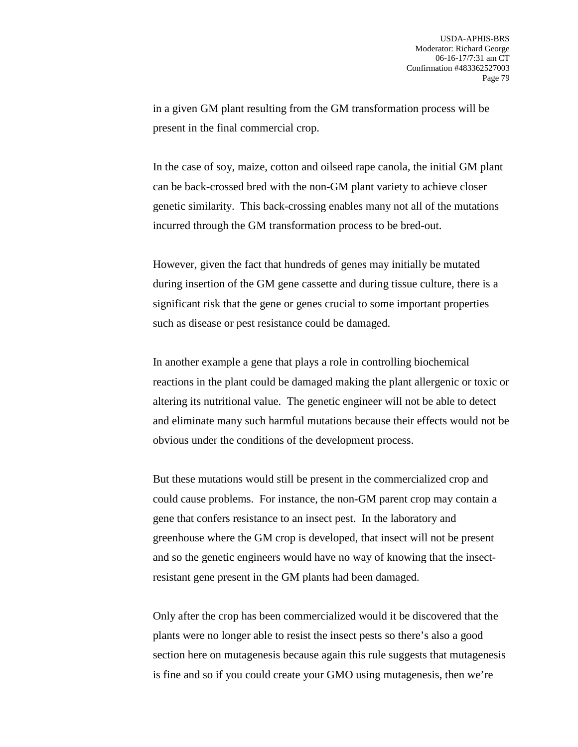in a given GM plant resulting from the GM transformation process will be present in the final commercial crop.

In the case of soy, maize, cotton and oilseed rape canola, the initial GM plant can be back-crossed bred with the non-GM plant variety to achieve closer genetic similarity. This back-crossing enables many not all of the mutations incurred through the GM transformation process to be bred-out.

However, given the fact that hundreds of genes may initially be mutated during insertion of the GM gene cassette and during tissue culture, there is a significant risk that the gene or genes crucial to some important properties such as disease or pest resistance could be damaged.

In another example a gene that plays a role in controlling biochemical reactions in the plant could be damaged making the plant allergenic or toxic or altering its nutritional value. The genetic engineer will not be able to detect and eliminate many such harmful mutations because their effects would not be obvious under the conditions of the development process.

But these mutations would still be present in the commercialized crop and could cause problems. For instance, the non-GM parent crop may contain a gene that confers resistance to an insect pest. In the laboratory and greenhouse where the GM crop is developed, that insect will not be present and so the genetic engineers would have no way of knowing that the insectresistant gene present in the GM plants had been damaged.

Only after the crop has been commercialized would it be discovered that the plants were no longer able to resist the insect pests so there's also a good section here on mutagenesis because again this rule suggests that mutagenesis is fine and so if you could create your GMO using mutagenesis, then we're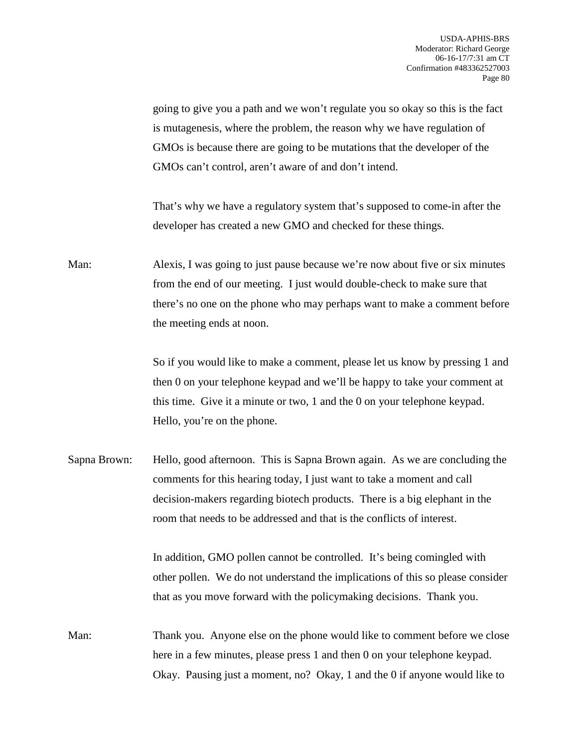going to give you a path and we won't regulate you so okay so this is the fact is mutagenesis, where the problem, the reason why we have regulation of GMOs is because there are going to be mutations that the developer of the GMOs can't control, aren't aware of and don't intend.

That's why we have a regulatory system that's supposed to come-in after the developer has created a new GMO and checked for these things.

Man: Alexis, I was going to just pause because we're now about five or six minutes from the end of our meeting. I just would double-check to make sure that there's no one on the phone who may perhaps want to make a comment before the meeting ends at noon.

> So if you would like to make a comment, please let us know by pressing 1 and then 0 on your telephone keypad and we'll be happy to take your comment at this time. Give it a minute or two, 1 and the 0 on your telephone keypad. Hello, you're on the phone.

Sapna Brown: Hello, good afternoon. This is Sapna Brown again. As we are concluding the comments for this hearing today, I just want to take a moment and call decision-makers regarding biotech products. There is a big elephant in the room that needs to be addressed and that is the conflicts of interest.

> In addition, GMO pollen cannot be controlled. It's being comingled with other pollen. We do not understand the implications of this so please consider that as you move forward with the policymaking decisions. Thank you.

Man: Thank you. Anyone else on the phone would like to comment before we close here in a few minutes, please press 1 and then 0 on your telephone keypad. Okay. Pausing just a moment, no? Okay, 1 and the 0 if anyone would like to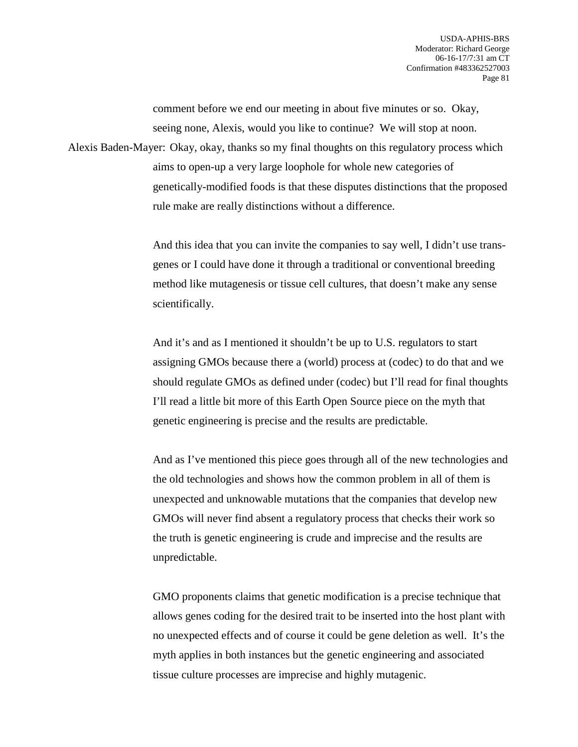comment before we end our meeting in about five minutes or so. Okay, seeing none, Alexis, would you like to continue? We will stop at noon.

Alexis Baden-Mayer: Okay, okay, thanks so my final thoughts on this regulatory process which aims to open-up a very large loophole for whole new categories of genetically-modified foods is that these disputes distinctions that the proposed rule make are really distinctions without a difference.

> And this idea that you can invite the companies to say well, I didn't use transgenes or I could have done it through a traditional or conventional breeding method like mutagenesis or tissue cell cultures, that doesn't make any sense scientifically.

> And it's and as I mentioned it shouldn't be up to U.S. regulators to start assigning GMOs because there a (world) process at (codec) to do that and we should regulate GMOs as defined under (codec) but I'll read for final thoughts I'll read a little bit more of this Earth Open Source piece on the myth that genetic engineering is precise and the results are predictable.

> And as I've mentioned this piece goes through all of the new technologies and the old technologies and shows how the common problem in all of them is unexpected and unknowable mutations that the companies that develop new GMOs will never find absent a regulatory process that checks their work so the truth is genetic engineering is crude and imprecise and the results are unpredictable.

> GMO proponents claims that genetic modification is a precise technique that allows genes coding for the desired trait to be inserted into the host plant with no unexpected effects and of course it could be gene deletion as well. It's the myth applies in both instances but the genetic engineering and associated tissue culture processes are imprecise and highly mutagenic.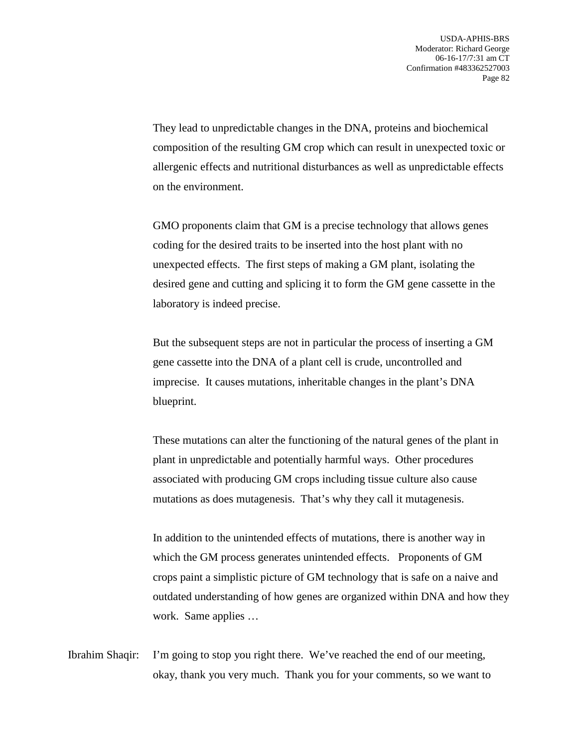They lead to unpredictable changes in the DNA, proteins and biochemical composition of the resulting GM crop which can result in unexpected toxic or allergenic effects and nutritional disturbances as well as unpredictable effects on the environment.

GMO proponents claim that GM is a precise technology that allows genes coding for the desired traits to be inserted into the host plant with no unexpected effects. The first steps of making a GM plant, isolating the desired gene and cutting and splicing it to form the GM gene cassette in the laboratory is indeed precise.

But the subsequent steps are not in particular the process of inserting a GM gene cassette into the DNA of a plant cell is crude, uncontrolled and imprecise. It causes mutations, inheritable changes in the plant's DNA blueprint.

These mutations can alter the functioning of the natural genes of the plant in plant in unpredictable and potentially harmful ways. Other procedures associated with producing GM crops including tissue culture also cause mutations as does mutagenesis. That's why they call it mutagenesis.

In addition to the unintended effects of mutations, there is another way in which the GM process generates unintended effects. Proponents of GM crops paint a simplistic picture of GM technology that is safe on a naive and outdated understanding of how genes are organized within DNA and how they work. Same applies …

Ibrahim Shaqir: I'm going to stop you right there. We've reached the end of our meeting, okay, thank you very much. Thank you for your comments, so we want to